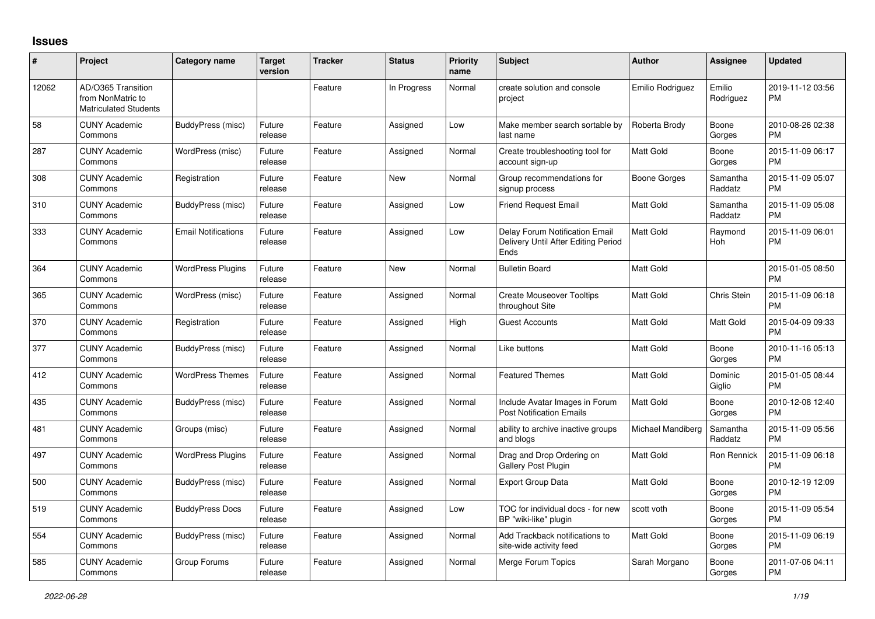## **Issues**

| #     | Project                                                                 | Category name              | <b>Target</b><br>version | <b>Tracker</b> | <b>Status</b> | Priority<br>name | <b>Subject</b>                                                                | <b>Author</b>       | <b>Assignee</b>     | <b>Updated</b>                |
|-------|-------------------------------------------------------------------------|----------------------------|--------------------------|----------------|---------------|------------------|-------------------------------------------------------------------------------|---------------------|---------------------|-------------------------------|
| 12062 | AD/O365 Transition<br>from NonMatric to<br><b>Matriculated Students</b> |                            |                          | Feature        | In Progress   | Normal           | create solution and console<br>project                                        | Emilio Rodriguez    | Emilio<br>Rodriguez | 2019-11-12 03:56<br><b>PM</b> |
| 58    | <b>CUNY Academic</b><br>Commons                                         | BuddyPress (misc)          | Future<br>release        | Feature        | Assigned      | Low              | Make member search sortable by<br>last name                                   | Roberta Brody       | Boone<br>Gorges     | 2010-08-26 02:38<br><b>PM</b> |
| 287   | <b>CUNY Academic</b><br>Commons                                         | WordPress (misc)           | Future<br>release        | Feature        | Assigned      | Normal           | Create troubleshooting tool for<br>account sign-up                            | <b>Matt Gold</b>    | Boone<br>Gorges     | 2015-11-09 06:17<br><b>PM</b> |
| 308   | <b>CUNY Academic</b><br>Commons                                         | Registration               | Future<br>release        | Feature        | <b>New</b>    | Normal           | Group recommendations for<br>signup process                                   | <b>Boone Gorges</b> | Samantha<br>Raddatz | 2015-11-09 05:07<br><b>PM</b> |
| 310   | <b>CUNY Academic</b><br>Commons                                         | BuddyPress (misc)          | Future<br>release        | Feature        | Assigned      | Low              | <b>Friend Request Email</b>                                                   | <b>Matt Gold</b>    | Samantha<br>Raddatz | 2015-11-09 05:08<br><b>PM</b> |
| 333   | <b>CUNY Academic</b><br>Commons                                         | <b>Email Notifications</b> | Future<br>release        | Feature        | Assigned      | Low              | Delay Forum Notification Email<br>Delivery Until After Editing Period<br>Ends | <b>Matt Gold</b>    | Raymond<br>Hoh      | 2015-11-09 06:01<br><b>PM</b> |
| 364   | <b>CUNY Academic</b><br>Commons                                         | <b>WordPress Plugins</b>   | Future<br>release        | Feature        | <b>New</b>    | Normal           | <b>Bulletin Board</b>                                                         | <b>Matt Gold</b>    |                     | 2015-01-05 08:50<br><b>PM</b> |
| 365   | <b>CUNY Academic</b><br>Commons                                         | WordPress (misc)           | Future<br>release        | Feature        | Assigned      | Normal           | <b>Create Mouseover Tooltips</b><br>throughout Site                           | <b>Matt Gold</b>    | Chris Stein         | 2015-11-09 06:18<br><b>PM</b> |
| 370   | <b>CUNY Academic</b><br>Commons                                         | Registration               | Future<br>release        | Feature        | Assigned      | High             | <b>Guest Accounts</b>                                                         | Matt Gold           | Matt Gold           | 2015-04-09 09:33<br><b>PM</b> |
| 377   | <b>CUNY Academic</b><br>Commons                                         | BuddyPress (misc)          | Future<br>release        | Feature        | Assigned      | Normal           | Like buttons                                                                  | <b>Matt Gold</b>    | Boone<br>Gorges     | 2010-11-16 05:13<br><b>PM</b> |
| 412   | <b>CUNY Academic</b><br>Commons                                         | <b>WordPress Themes</b>    | Future<br>release        | Feature        | Assigned      | Normal           | <b>Featured Themes</b>                                                        | <b>Matt Gold</b>    | Dominic<br>Giglio   | 2015-01-05 08:44<br><b>PM</b> |
| 435   | <b>CUNY Academic</b><br>Commons                                         | BuddyPress (misc)          | Future<br>release        | Feature        | Assigned      | Normal           | Include Avatar Images in Forum<br><b>Post Notification Emails</b>             | Matt Gold           | Boone<br>Gorges     | 2010-12-08 12:40<br><b>PM</b> |
| 481   | <b>CUNY Academic</b><br>Commons                                         | Groups (misc)              | Future<br>release        | Feature        | Assigned      | Normal           | ability to archive inactive groups<br>and blogs                               | Michael Mandiberg   | Samantha<br>Raddatz | 2015-11-09 05:56<br><b>PM</b> |
| 497   | <b>CUNY Academic</b><br>Commons                                         | <b>WordPress Plugins</b>   | Future<br>release        | Feature        | Assigned      | Normal           | Drag and Drop Ordering on<br><b>Gallery Post Plugin</b>                       | Matt Gold           | Ron Rennick         | 2015-11-09 06:18<br><b>PM</b> |
| 500   | <b>CUNY Academic</b><br>Commons                                         | BuddyPress (misc)          | Future<br>release        | Feature        | Assigned      | Normal           | <b>Export Group Data</b>                                                      | <b>Matt Gold</b>    | Boone<br>Gorges     | 2010-12-19 12:09<br><b>PM</b> |
| 519   | <b>CUNY Academic</b><br>Commons                                         | <b>BuddyPress Docs</b>     | Future<br>release        | Feature        | Assigned      | Low              | TOC for individual docs - for new<br>BP "wiki-like" plugin                    | scott voth          | Boone<br>Gorges     | 2015-11-09 05:54<br><b>PM</b> |
| 554   | <b>CUNY Academic</b><br>Commons                                         | BuddyPress (misc)          | Future<br>release        | Feature        | Assigned      | Normal           | Add Trackback notifications to<br>site-wide activity feed                     | <b>Matt Gold</b>    | Boone<br>Gorges     | 2015-11-09 06:19<br><b>PM</b> |
| 585   | <b>CUNY Academic</b><br>Commons                                         | Group Forums               | Future<br>release        | Feature        | Assigned      | Normal           | Merge Forum Topics                                                            | Sarah Morgano       | Boone<br>Gorges     | 2011-07-06 04:11<br><b>PM</b> |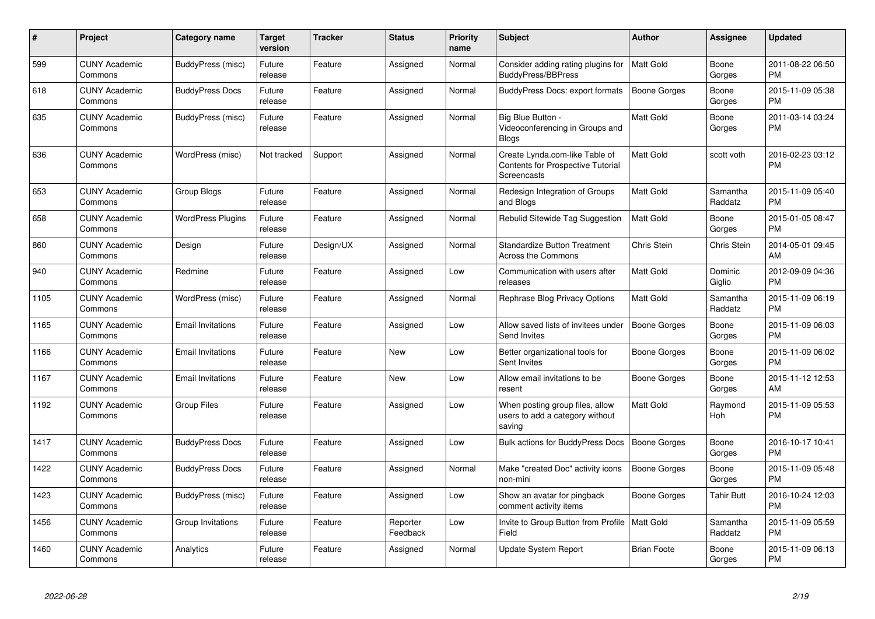| #    | <b>Project</b>                  | Category name            | <b>Target</b><br>version | <b>Tracker</b> | <b>Status</b>        | Priority<br>name | <b>Subject</b>                                                                            | Author              | Assignee            | <b>Updated</b>                |
|------|---------------------------------|--------------------------|--------------------------|----------------|----------------------|------------------|-------------------------------------------------------------------------------------------|---------------------|---------------------|-------------------------------|
| 599  | <b>CUNY Academic</b><br>Commons | BuddyPress (misc)        | Future<br>release        | Feature        | Assigned             | Normal           | Consider adding rating plugins for<br><b>BuddyPress/BBPress</b>                           | Matt Gold           | Boone<br>Gorges     | 2011-08-22 06:50<br><b>PM</b> |
| 618  | <b>CUNY Academic</b><br>Commons | <b>BuddyPress Docs</b>   | Future<br>release        | Feature        | Assigned             | Normal           | BuddyPress Docs: export formats                                                           | Boone Gorges        | Boone<br>Gorges     | 2015-11-09 05:38<br><b>PM</b> |
| 635  | <b>CUNY Academic</b><br>Commons | BuddyPress (misc)        | Future<br>release        | Feature        | Assigned             | Normal           | Big Blue Button -<br>Videoconferencing in Groups and<br><b>Blogs</b>                      | Matt Gold           | Boone<br>Gorges     | 2011-03-14 03:24<br><b>PM</b> |
| 636  | <b>CUNY Academic</b><br>Commons | WordPress (misc)         | Not tracked              | Support        | Assigned             | Normal           | Create Lynda.com-like Table of<br><b>Contents for Prospective Tutorial</b><br>Screencasts | Matt Gold           | scott voth          | 2016-02-23 03:12<br><b>PM</b> |
| 653  | <b>CUNY Academic</b><br>Commons | Group Blogs              | Future<br>release        | Feature        | Assigned             | Normal           | Redesign Integration of Groups<br>and Blogs                                               | Matt Gold           | Samantha<br>Raddatz | 2015-11-09 05:40<br><b>PM</b> |
| 658  | <b>CUNY Academic</b><br>Commons | <b>WordPress Plugins</b> | Future<br>release        | Feature        | Assigned             | Normal           | Rebulid Sitewide Tag Suggestion                                                           | Matt Gold           | Boone<br>Gorges     | 2015-01-05 08:47<br><b>PM</b> |
| 860  | <b>CUNY Academic</b><br>Commons | Design                   | Future<br>release        | Design/UX      | Assigned             | Normal           | <b>Standardize Button Treatment</b><br>Across the Commons                                 | <b>Chris Stein</b>  | Chris Stein         | 2014-05-01 09:45<br>AM        |
| 940  | <b>CUNY Academic</b><br>Commons | Redmine                  | Future<br>release        | Feature        | Assigned             | Low              | Communication with users after<br>releases                                                | Matt Gold           | Dominic<br>Giglio   | 2012-09-09 04:36<br><b>PM</b> |
| 1105 | <b>CUNY Academic</b><br>Commons | WordPress (misc)         | Future<br>release        | Feature        | Assigned             | Normal           | Rephrase Blog Privacy Options                                                             | Matt Gold           | Samantha<br>Raddatz | 2015-11-09 06:19<br><b>PM</b> |
| 1165 | <b>CUNY Academic</b><br>Commons | <b>Email Invitations</b> | Future<br>release        | Feature        | Assigned             | Low              | Allow saved lists of invitees under<br>Send Invites                                       | Boone Gorges        | Boone<br>Gorges     | 2015-11-09 06:03<br><b>PM</b> |
| 1166 | <b>CUNY Academic</b><br>Commons | <b>Email Invitations</b> | Future<br>release        | Feature        | <b>New</b>           | Low              | Better organizational tools for<br>Sent Invites                                           | Boone Gorges        | Boone<br>Gorges     | 2015-11-09 06:02<br><b>PM</b> |
| 1167 | <b>CUNY Academic</b><br>Commons | <b>Email Invitations</b> | Future<br>release        | Feature        | <b>New</b>           | Low              | Allow email invitations to be<br>resent                                                   | Boone Gorges        | Boone<br>Gorges     | 2015-11-12 12:53<br>AM        |
| 1192 | <b>CUNY Academic</b><br>Commons | <b>Group Files</b>       | Future<br>release        | Feature        | Assigned             | Low              | When posting group files, allow<br>users to add a category without<br>saving              | Matt Gold           | Raymond<br>Hoh      | 2015-11-09 05:53<br><b>PM</b> |
| 1417 | <b>CUNY Academic</b><br>Commons | <b>BuddyPress Docs</b>   | Future<br>release        | Feature        | Assigned             | Low              | Bulk actions for BuddyPress Docs                                                          | <b>Boone Gorges</b> | Boone<br>Gorges     | 2016-10-17 10:41<br><b>PM</b> |
| 1422 | <b>CUNY Academic</b><br>Commons | <b>BuddyPress Docs</b>   | Future<br>release        | Feature        | Assigned             | Normal           | Make "created Doc" activity icons<br>non-mini                                             | <b>Boone Gorges</b> | Boone<br>Gorges     | 2015-11-09 05:48<br><b>PM</b> |
| 1423 | <b>CUNY Academic</b><br>Commons | BuddyPress (misc)        | Future<br>release        | Feature        | Assigned             | Low              | Show an avatar for pingback<br>comment activity items                                     | Boone Gorges        | <b>Tahir Butt</b>   | 2016-10-24 12:03<br><b>PM</b> |
| 1456 | <b>CUNY Academic</b><br>Commons | Group Invitations        | Future<br>release        | Feature        | Reporter<br>Feedback | Low              | Invite to Group Button from Profile   Matt Gold<br>Field                                  |                     | Samantha<br>Raddatz | 2015-11-09 05:59<br><b>PM</b> |
| 1460 | <b>CUNY Academic</b><br>Commons | Analytics                | Future<br>release        | Feature        | Assigned             | Normal           | Update System Report                                                                      | <b>Brian Foote</b>  | Boone<br>Gorges     | 2015-11-09 06:13<br>PM        |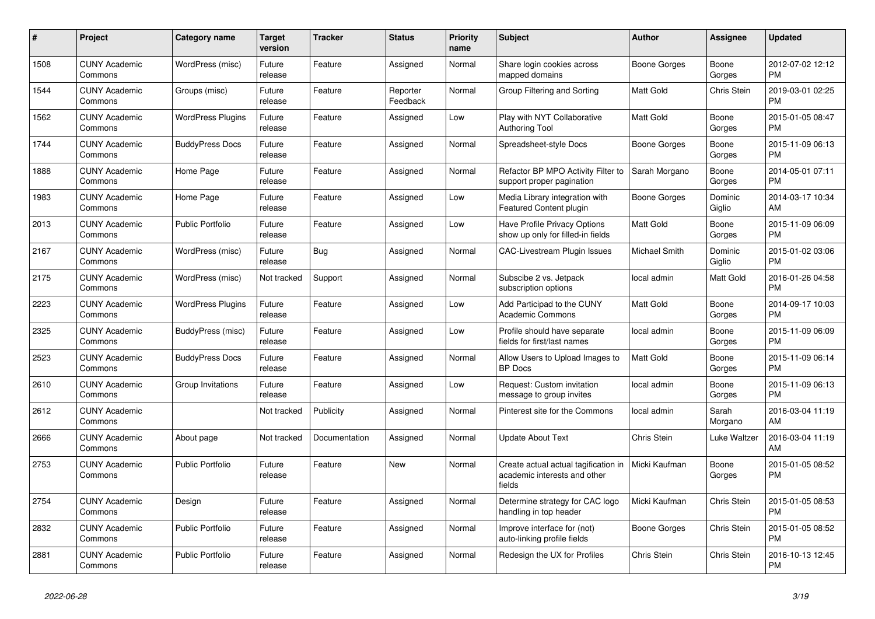| $\#$ | <b>Project</b>                  | Category name            | <b>Target</b><br>version | <b>Tracker</b> | <b>Status</b>        | Priority<br>name | <b>Subject</b>                                                                 | Author              | <b>Assignee</b>   | <b>Updated</b>                |
|------|---------------------------------|--------------------------|--------------------------|----------------|----------------------|------------------|--------------------------------------------------------------------------------|---------------------|-------------------|-------------------------------|
| 1508 | <b>CUNY Academic</b><br>Commons | WordPress (misc)         | Future<br>release        | Feature        | Assigned             | Normal           | Share login cookies across<br>mapped domains                                   | Boone Gorges        | Boone<br>Gorges   | 2012-07-02 12:12<br><b>PM</b> |
| 1544 | <b>CUNY Academic</b><br>Commons | Groups (misc)            | Future<br>release        | Feature        | Reporter<br>Feedback | Normal           | Group Filtering and Sorting                                                    | <b>Matt Gold</b>    | Chris Stein       | 2019-03-01 02:25<br><b>PM</b> |
| 1562 | <b>CUNY Academic</b><br>Commons | <b>WordPress Plugins</b> | Future<br>release        | Feature        | Assigned             | Low              | Play with NYT Collaborative<br><b>Authoring Tool</b>                           | Matt Gold           | Boone<br>Gorges   | 2015-01-05 08:47<br><b>PM</b> |
| 1744 | <b>CUNY Academic</b><br>Commons | <b>BuddyPress Docs</b>   | Future<br>release        | Feature        | Assigned             | Normal           | Spreadsheet-style Docs                                                         | <b>Boone Gorges</b> | Boone<br>Gorges   | 2015-11-09 06:13<br><b>PM</b> |
| 1888 | <b>CUNY Academic</b><br>Commons | Home Page                | Future<br>release        | Feature        | Assigned             | Normal           | Refactor BP MPO Activity Filter to<br>support proper pagination                | Sarah Morgano       | Boone<br>Gorges   | 2014-05-01 07:11<br><b>PM</b> |
| 1983 | <b>CUNY Academic</b><br>Commons | Home Page                | Future<br>release        | Feature        | Assigned             | Low              | Media Library integration with<br>Featured Content plugin                      | <b>Boone Gorges</b> | Dominic<br>Giglio | 2014-03-17 10:34<br>AM        |
| 2013 | <b>CUNY Academic</b><br>Commons | <b>Public Portfolio</b>  | Future<br>release        | Feature        | Assigned             | Low              | Have Profile Privacy Options<br>show up only for filled-in fields              | Matt Gold           | Boone<br>Gorges   | 2015-11-09 06:09<br><b>PM</b> |
| 2167 | <b>CUNY Academic</b><br>Commons | WordPress (misc)         | Future<br>release        | <b>Bug</b>     | Assigned             | Normal           | CAC-Livestream Plugin Issues                                                   | Michael Smith       | Dominic<br>Giglio | 2015-01-02 03:06<br><b>PM</b> |
| 2175 | <b>CUNY Academic</b><br>Commons | WordPress (misc)         | Not tracked              | Support        | Assigned             | Normal           | Subscibe 2 vs. Jetpack<br>subscription options                                 | local admin         | Matt Gold         | 2016-01-26 04:58<br><b>PM</b> |
| 2223 | <b>CUNY Academic</b><br>Commons | <b>WordPress Plugins</b> | Future<br>release        | Feature        | Assigned             | Low              | Add Participad to the CUNY<br><b>Academic Commons</b>                          | <b>Matt Gold</b>    | Boone<br>Gorges   | 2014-09-17 10:03<br><b>PM</b> |
| 2325 | <b>CUNY Academic</b><br>Commons | BuddyPress (misc)        | Future<br>release        | Feature        | Assigned             | Low              | Profile should have separate<br>fields for first/last names                    | local admin         | Boone<br>Gorges   | 2015-11-09 06:09<br><b>PM</b> |
| 2523 | <b>CUNY Academic</b><br>Commons | <b>BuddyPress Docs</b>   | Future<br>release        | Feature        | Assigned             | Normal           | Allow Users to Upload Images to<br><b>BP</b> Docs                              | <b>Matt Gold</b>    | Boone<br>Gorges   | 2015-11-09 06:14<br><b>PM</b> |
| 2610 | <b>CUNY Academic</b><br>Commons | Group Invitations        | Future<br>release        | Feature        | Assigned             | Low              | Request: Custom invitation<br>message to group invites                         | local admin         | Boone<br>Gorges   | 2015-11-09 06:13<br><b>PM</b> |
| 2612 | <b>CUNY Academic</b><br>Commons |                          | Not tracked              | Publicity      | Assigned             | Normal           | Pinterest site for the Commons                                                 | local admin         | Sarah<br>Morgano  | 2016-03-04 11:19<br>AM        |
| 2666 | <b>CUNY Academic</b><br>Commons | About page               | Not tracked              | Documentation  | Assigned             | Normal           | <b>Update About Text</b>                                                       | Chris Stein         | Luke Waltzer      | 2016-03-04 11:19<br>AM        |
| 2753 | <b>CUNY Academic</b><br>Commons | <b>Public Portfolio</b>  | Future<br>release        | Feature        | <b>New</b>           | Normal           | Create actual actual tagification in<br>academic interests and other<br>fields | Micki Kaufman       | Boone<br>Gorges   | 2015-01-05 08:52<br><b>PM</b> |
| 2754 | <b>CUNY Academic</b><br>Commons | Design                   | Future<br>release        | Feature        | Assigned             | Normal           | Determine strategy for CAC logo<br>handling in top header                      | Micki Kaufman       | Chris Stein       | 2015-01-05 08:53<br><b>PM</b> |
| 2832 | <b>CUNY Academic</b><br>Commons | <b>Public Portfolio</b>  | Future<br>release        | Feature        | Assigned             | Normal           | Improve interface for (not)<br>auto-linking profile fields                     | Boone Gorges        | Chris Stein       | 2015-01-05 08:52<br><b>PM</b> |
| 2881 | <b>CUNY Academic</b><br>Commons | <b>Public Portfolio</b>  | Future<br>release        | Feature        | Assigned             | Normal           | Redesign the UX for Profiles                                                   | Chris Stein         | Chris Stein       | 2016-10-13 12:45<br><b>PM</b> |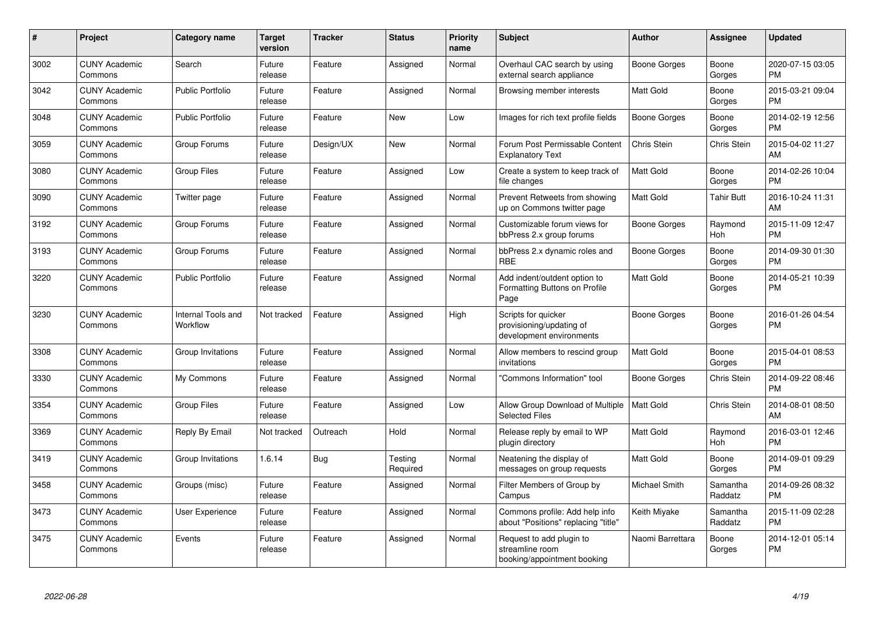| $\#$ | <b>Project</b>                  | Category name                  | <b>Target</b><br>version | <b>Tracker</b> | <b>Status</b>       | <b>Priority</b><br>name | <b>Subject</b>                                                              | Author              | Assignee            | <b>Updated</b>                |
|------|---------------------------------|--------------------------------|--------------------------|----------------|---------------------|-------------------------|-----------------------------------------------------------------------------|---------------------|---------------------|-------------------------------|
| 3002 | <b>CUNY Academic</b><br>Commons | Search                         | Future<br>release        | Feature        | Assigned            | Normal                  | Overhaul CAC search by using<br>external search appliance                   | Boone Gorges        | Boone<br>Gorges     | 2020-07-15 03:05<br><b>PM</b> |
| 3042 | <b>CUNY Academic</b><br>Commons | <b>Public Portfolio</b>        | Future<br>release        | Feature        | Assigned            | Normal                  | Browsing member interests                                                   | Matt Gold           | Boone<br>Gorges     | 2015-03-21 09:04<br><b>PM</b> |
| 3048 | <b>CUNY Academic</b><br>Commons | <b>Public Portfolio</b>        | Future<br>release        | Feature        | <b>New</b>          | Low                     | Images for rich text profile fields                                         | <b>Boone Gorges</b> | Boone<br>Gorges     | 2014-02-19 12:56<br><b>PM</b> |
| 3059 | <b>CUNY Academic</b><br>Commons | Group Forums                   | Future<br>release        | Design/UX      | <b>New</b>          | Normal                  | Forum Post Permissable Content<br><b>Explanatory Text</b>                   | Chris Stein         | Chris Stein         | 2015-04-02 11:27<br>AM        |
| 3080 | <b>CUNY Academic</b><br>Commons | Group Files                    | Future<br>release        | Feature        | Assigned            | Low                     | Create a system to keep track of<br>file changes                            | <b>Matt Gold</b>    | Boone<br>Gorges     | 2014-02-26 10:04<br><b>PM</b> |
| 3090 | <b>CUNY Academic</b><br>Commons | Twitter page                   | Future<br>release        | Feature        | Assigned            | Normal                  | Prevent Retweets from showing<br>up on Commons twitter page                 | <b>Matt Gold</b>    | <b>Tahir Butt</b>   | 2016-10-24 11:31<br>AM        |
| 3192 | <b>CUNY Academic</b><br>Commons | Group Forums                   | Future<br>release        | Feature        | Assigned            | Normal                  | Customizable forum views for<br>bbPress 2.x group forums                    | Boone Gorges        | Raymond<br>Hoh      | 2015-11-09 12:47<br><b>PM</b> |
| 3193 | <b>CUNY Academic</b><br>Commons | Group Forums                   | Future<br>release        | Feature        | Assigned            | Normal                  | bbPress 2.x dynamic roles and<br><b>RBE</b>                                 | <b>Boone Gorges</b> | Boone<br>Gorges     | 2014-09-30 01:30<br><b>PM</b> |
| 3220 | <b>CUNY Academic</b><br>Commons | Public Portfolio               | Future<br>release        | Feature        | Assigned            | Normal                  | Add indent/outdent option to<br>Formatting Buttons on Profile<br>Page       | <b>Matt Gold</b>    | Boone<br>Gorges     | 2014-05-21 10:39<br><b>PM</b> |
| 3230 | <b>CUNY Academic</b><br>Commons | Internal Tools and<br>Workflow | Not tracked              | Feature        | Assigned            | High                    | Scripts for quicker<br>provisioning/updating of<br>development environments | Boone Gorges        | Boone<br>Gorges     | 2016-01-26 04:54<br><b>PM</b> |
| 3308 | <b>CUNY Academic</b><br>Commons | Group Invitations              | Future<br>release        | Feature        | Assigned            | Normal                  | Allow members to rescind group<br>invitations                               | <b>Matt Gold</b>    | Boone<br>Gorges     | 2015-04-01 08:53<br><b>PM</b> |
| 3330 | <b>CUNY Academic</b><br>Commons | My Commons                     | Future<br>release        | Feature        | Assigned            | Normal                  | 'Commons Information" tool                                                  | Boone Gorges        | Chris Stein         | 2014-09-22 08:46<br><b>PM</b> |
| 3354 | <b>CUNY Academic</b><br>Commons | <b>Group Files</b>             | Future<br>release        | Feature        | Assigned            | Low                     | Allow Group Download of Multiple<br><b>Selected Files</b>                   | <b>Matt Gold</b>    | Chris Stein         | 2014-08-01 08:50<br>AM        |
| 3369 | <b>CUNY Academic</b><br>Commons | Reply By Email                 | Not tracked              | Outreach       | Hold                | Normal                  | Release reply by email to WP<br>plugin directory                            | <b>Matt Gold</b>    | Raymond<br>Hoh      | 2016-03-01 12:46<br><b>PM</b> |
| 3419 | <b>CUNY Academic</b><br>Commons | Group Invitations              | 1.6.14                   | <b>Bug</b>     | Testing<br>Required | Normal                  | Neatening the display of<br>messages on group requests                      | Matt Gold           | Boone<br>Gorges     | 2014-09-01 09:29<br><b>PM</b> |
| 3458 | <b>CUNY Academic</b><br>Commons | Groups (misc)                  | Future<br>release        | Feature        | Assigned            | Normal                  | Filter Members of Group by<br>Campus                                        | Michael Smith       | Samantha<br>Raddatz | 2014-09-26 08:32<br><b>PM</b> |
| 3473 | <b>CUNY Academic</b><br>Commons | User Experience                | Future<br>release        | Feature        | Assigned            | Normal                  | Commons profile: Add help info<br>about "Positions" replacing "title"       | Keith Miyake        | Samantha<br>Raddatz | 2015-11-09 02:28<br><b>PM</b> |
| 3475 | <b>CUNY Academic</b><br>Commons | Events                         | Future<br>release        | Feature        | Assigned            | Normal                  | Request to add plugin to<br>streamline room<br>booking/appointment booking  | Naomi Barrettara    | Boone<br>Gorges     | 2014-12-01 05:14<br><b>PM</b> |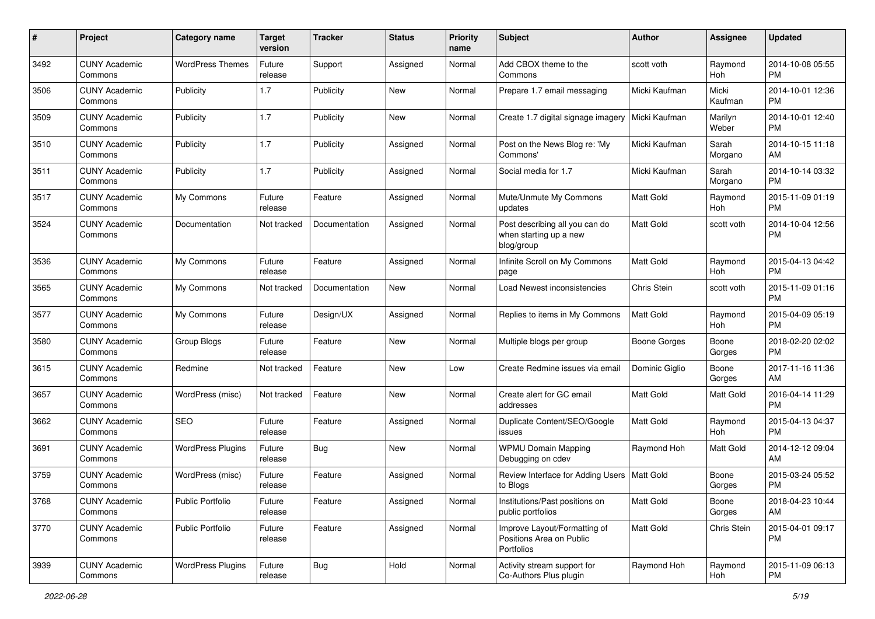| #    | Project                         | <b>Category name</b>     | <b>Target</b><br>version | <b>Tracker</b> | <b>Status</b> | <b>Priority</b><br>name | Subject                                                                | Author           | <b>Assignee</b>  | <b>Updated</b>                |
|------|---------------------------------|--------------------------|--------------------------|----------------|---------------|-------------------------|------------------------------------------------------------------------|------------------|------------------|-------------------------------|
| 3492 | <b>CUNY Academic</b><br>Commons | <b>WordPress Themes</b>  | Future<br>release        | Support        | Assigned      | Normal                  | Add CBOX theme to the<br>Commons                                       | scott voth       | Raymond<br>Hoh   | 2014-10-08 05:55<br><b>PM</b> |
| 3506 | <b>CUNY Academic</b><br>Commons | Publicity                | 1.7                      | Publicity      | <b>New</b>    | Normal                  | Prepare 1.7 email messaging                                            | Micki Kaufman    | Micki<br>Kaufman | 2014-10-01 12:36<br><b>PM</b> |
| 3509 | <b>CUNY Academic</b><br>Commons | Publicity                | 1.7                      | Publicity      | New           | Normal                  | Create 1.7 digital signage imagery                                     | Micki Kaufman    | Marilyn<br>Weber | 2014-10-01 12:40<br><b>PM</b> |
| 3510 | <b>CUNY Academic</b><br>Commons | Publicity                | 1.7                      | Publicity      | Assigned      | Normal                  | Post on the News Blog re: 'My<br>Commons'                              | Micki Kaufman    | Sarah<br>Morgano | 2014-10-15 11:18<br>AM        |
| 3511 | <b>CUNY Academic</b><br>Commons | Publicity                | 1.7                      | Publicity      | Assigned      | Normal                  | Social media for 1.7                                                   | Micki Kaufman    | Sarah<br>Morgano | 2014-10-14 03:32<br><b>PM</b> |
| 3517 | <b>CUNY Academic</b><br>Commons | My Commons               | Future<br>release        | Feature        | Assigned      | Normal                  | Mute/Unmute My Commons<br>updates                                      | <b>Matt Gold</b> | Raymond<br>Hoh   | 2015-11-09 01:19<br><b>PM</b> |
| 3524 | <b>CUNY Academic</b><br>Commons | Documentation            | Not tracked              | Documentation  | Assigned      | Normal                  | Post describing all you can do<br>when starting up a new<br>blog/group | <b>Matt Gold</b> | scott voth       | 2014-10-04 12:56<br><b>PM</b> |
| 3536 | <b>CUNY Academic</b><br>Commons | My Commons               | Future<br>release        | Feature        | Assigned      | Normal                  | Infinite Scroll on My Commons<br>page                                  | Matt Gold        | Raymond<br>Hoh   | 2015-04-13 04:42<br><b>PM</b> |
| 3565 | <b>CUNY Academic</b><br>Commons | My Commons               | Not tracked              | Documentation  | <b>New</b>    | Normal                  | Load Newest inconsistencies                                            | Chris Stein      | scott voth       | 2015-11-09 01:16<br><b>PM</b> |
| 3577 | <b>CUNY Academic</b><br>Commons | My Commons               | Future<br>release        | Design/UX      | Assigned      | Normal                  | Replies to items in My Commons                                         | <b>Matt Gold</b> | Raymond<br>Hoh   | 2015-04-09 05:19<br><b>PM</b> |
| 3580 | <b>CUNY Academic</b><br>Commons | Group Blogs              | Future<br>release        | Feature        | New           | Normal                  | Multiple blogs per group                                               | Boone Gorges     | Boone<br>Gorges  | 2018-02-20 02:02<br><b>PM</b> |
| 3615 | <b>CUNY Academic</b><br>Commons | Redmine                  | Not tracked              | Feature        | New           | Low                     | Create Redmine issues via email                                        | Dominic Giglio   | Boone<br>Gorges  | 2017-11-16 11:36<br>AM        |
| 3657 | <b>CUNY Academic</b><br>Commons | WordPress (misc)         | Not tracked              | Feature        | <b>New</b>    | Normal                  | Create alert for GC email<br>addresses                                 | <b>Matt Gold</b> | Matt Gold        | 2016-04-14 11:29<br><b>PM</b> |
| 3662 | <b>CUNY Academic</b><br>Commons | <b>SEO</b>               | Future<br>release        | Feature        | Assigned      | Normal                  | Duplicate Content/SEO/Google<br>issues                                 | <b>Matt Gold</b> | Raymond<br>Hoh   | 2015-04-13 04:37<br><b>PM</b> |
| 3691 | <b>CUNY Academic</b><br>Commons | <b>WordPress Plugins</b> | Future<br>release        | <b>Bug</b>     | <b>New</b>    | Normal                  | <b>WPMU Domain Mapping</b><br>Debugging on cdev                        | Raymond Hoh      | Matt Gold        | 2014-12-12 09:04<br>AM        |
| 3759 | <b>CUNY Academic</b><br>Commons | WordPress (misc)         | Future<br>release        | Feature        | Assigned      | Normal                  | Review Interface for Adding Users<br>to Blogs                          | <b>Matt Gold</b> | Boone<br>Gorges  | 2015-03-24 05:52<br><b>PM</b> |
| 3768 | <b>CUNY Academic</b><br>Commons | Public Portfolio         | Future<br>release        | Feature        | Assigned      | Normal                  | Institutions/Past positions on<br>public portfolios                    | Matt Gold        | Boone<br>Gorges  | 2018-04-23 10:44<br>AM        |
| 3770 | <b>CUNY Academic</b><br>Commons | Public Portfolio         | Future<br>release        | Feature        | Assigned      | Normal                  | Improve Layout/Formatting of<br>Positions Area on Public<br>Portfolios | Matt Gold        | Chris Stein      | 2015-04-01 09:17<br>PM        |
| 3939 | <b>CUNY Academic</b><br>Commons | <b>WordPress Plugins</b> | Future<br>release        | i Bug          | Hold          | Normal                  | Activity stream support for<br>Co-Authors Plus plugin                  | Raymond Hoh      | Raymond<br>Hoh   | 2015-11-09 06:13<br>PM        |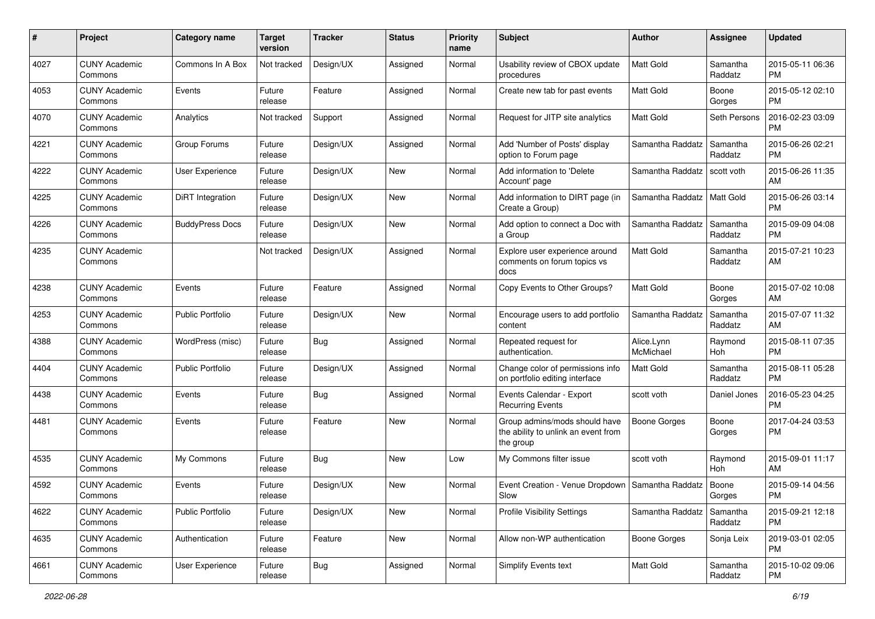| #    | Project                         | <b>Category name</b>    | <b>Target</b><br>version | <b>Tracker</b> | <b>Status</b> | <b>Priority</b><br>name | Subject                                                                           | Author                  | <b>Assignee</b>     | <b>Updated</b>                |
|------|---------------------------------|-------------------------|--------------------------|----------------|---------------|-------------------------|-----------------------------------------------------------------------------------|-------------------------|---------------------|-------------------------------|
| 4027 | <b>CUNY Academic</b><br>Commons | Commons In A Box        | Not tracked              | Design/UX      | Assigned      | Normal                  | Usability review of CBOX update<br>procedures                                     | <b>Matt Gold</b>        | Samantha<br>Raddatz | 2015-05-11 06:36<br><b>PM</b> |
| 4053 | <b>CUNY Academic</b><br>Commons | Events                  | Future<br>release        | Feature        | Assigned      | Normal                  | Create new tab for past events                                                    | <b>Matt Gold</b>        | Boone<br>Gorges     | 2015-05-12 02:10<br><b>PM</b> |
| 4070 | <b>CUNY Academic</b><br>Commons | Analytics               | Not tracked              | Support        | Assigned      | Normal                  | Request for JITP site analytics                                                   | <b>Matt Gold</b>        | Seth Persons        | 2016-02-23 03:09<br><b>PM</b> |
| 4221 | <b>CUNY Academic</b><br>Commons | Group Forums            | Future<br>release        | Design/UX      | Assigned      | Normal                  | Add 'Number of Posts' display<br>option to Forum page                             | Samantha Raddatz        | Samantha<br>Raddatz | 2015-06-26 02:21<br><b>PM</b> |
| 4222 | <b>CUNY Academic</b><br>Commons | User Experience         | Future<br>release        | Design/UX      | New           | Normal                  | Add information to 'Delete<br>Account' page                                       | Samantha Raddatz        | scott voth          | 2015-06-26 11:35<br>AM        |
| 4225 | <b>CUNY Academic</b><br>Commons | <b>DiRT</b> Integration | Future<br>release        | Design/UX      | New           | Normal                  | Add information to DIRT page (in<br>Create a Group)                               | Samantha Raddatz        | Matt Gold           | 2015-06-26 03:14<br><b>PM</b> |
| 4226 | <b>CUNY Academic</b><br>Commons | <b>BuddyPress Docs</b>  | Future<br>release        | Design/UX      | <b>New</b>    | Normal                  | Add option to connect a Doc with<br>a Group                                       | Samantha Raddatz        | Samantha<br>Raddatz | 2015-09-09 04:08<br><b>PM</b> |
| 4235 | <b>CUNY Academic</b><br>Commons |                         | Not tracked              | Design/UX      | Assigned      | Normal                  | Explore user experience around<br>comments on forum topics vs<br>docs             | <b>Matt Gold</b>        | Samantha<br>Raddatz | 2015-07-21 10:23<br>AM        |
| 4238 | <b>CUNY Academic</b><br>Commons | Events                  | Future<br>release        | Feature        | Assigned      | Normal                  | Copy Events to Other Groups?                                                      | <b>Matt Gold</b>        | Boone<br>Gorges     | 2015-07-02 10:08<br>AM        |
| 4253 | <b>CUNY Academic</b><br>Commons | <b>Public Portfolio</b> | Future<br>release        | Design/UX      | New           | Normal                  | Encourage users to add portfolio<br>content                                       | Samantha Raddatz        | Samantha<br>Raddatz | 2015-07-07 11:32<br>AM        |
| 4388 | <b>CUNY Academic</b><br>Commons | WordPress (misc)        | Future<br>release        | <b>Bug</b>     | Assigned      | Normal                  | Repeated request for<br>authentication.                                           | Alice.Lynn<br>McMichael | Raymond<br>Hoh      | 2015-08-11 07:35<br>PM        |
| 4404 | <b>CUNY Academic</b><br>Commons | <b>Public Portfolio</b> | Future<br>release        | Design/UX      | Assigned      | Normal                  | Change color of permissions info<br>on portfolio editing interface                | <b>Matt Gold</b>        | Samantha<br>Raddatz | 2015-08-11 05:28<br><b>PM</b> |
| 4438 | <b>CUNY Academic</b><br>Commons | Events                  | Future<br>release        | Bug            | Assigned      | Normal                  | Events Calendar - Export<br><b>Recurring Events</b>                               | scott voth              | Daniel Jones        | 2016-05-23 04:25<br><b>PM</b> |
| 4481 | <b>CUNY Academic</b><br>Commons | Events                  | Future<br>release        | Feature        | New           | Normal                  | Group admins/mods should have<br>the ability to unlink an event from<br>the group | <b>Boone Gorges</b>     | Boone<br>Gorges     | 2017-04-24 03:53<br><b>PM</b> |
| 4535 | <b>CUNY Academic</b><br>Commons | My Commons              | Future<br>release        | <b>Bug</b>     | New           | Low                     | My Commons filter issue                                                           | scott voth              | Raymond<br>Hoh      | 2015-09-01 11:17<br>AM        |
| 4592 | CUNY Academic<br>Commons        | Events                  | Future<br>release        | Design/UX      | <b>New</b>    | Normal                  | Event Creation - Venue Dropdown<br>Slow                                           | Samantha Raddatz        | Boone<br>Gorges     | 2015-09-14 04:56<br>PM        |
| 4622 | <b>CUNY Academic</b><br>Commons | <b>Public Portfolio</b> | Future<br>release        | Design/UX      | New           | Normal                  | <b>Profile Visibility Settings</b>                                                | Samantha Raddatz        | Samantha<br>Raddatz | 2015-09-21 12:18<br><b>PM</b> |
| 4635 | <b>CUNY Academic</b><br>Commons | Authentication          | Future<br>release        | Feature        | New           | Normal                  | Allow non-WP authentication                                                       | <b>Boone Gorges</b>     | Sonja Leix          | 2019-03-01 02:05<br>PM        |
| 4661 | <b>CUNY Academic</b><br>Commons | User Experience         | Future<br>release        | <b>Bug</b>     | Assigned      | Normal                  | Simplify Events text                                                              | Matt Gold               | Samantha<br>Raddatz | 2015-10-02 09:06<br>PM        |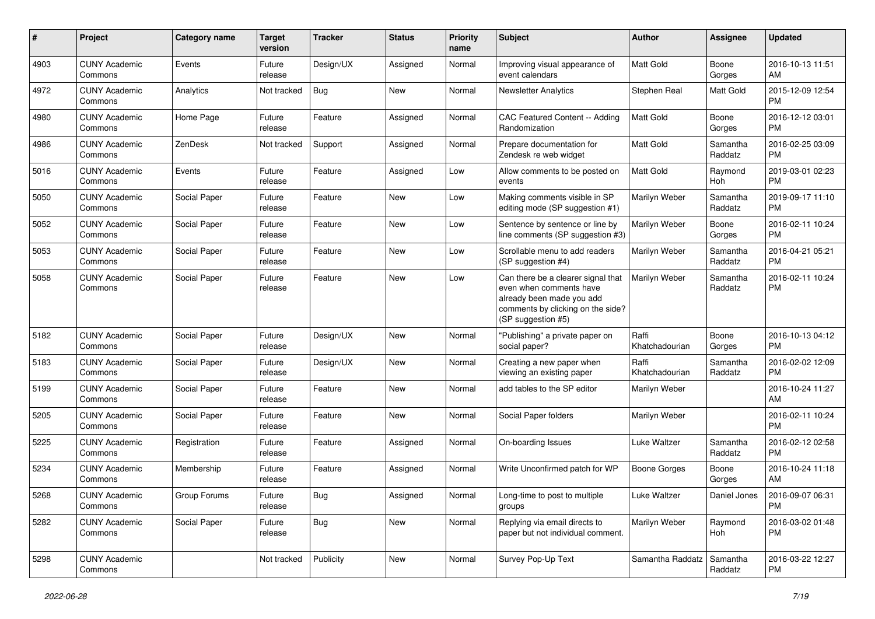| #    | Project                         | <b>Category name</b> | <b>Target</b><br>version | <b>Tracker</b> | <b>Status</b> | <b>Priority</b><br>name | <b>Subject</b>                                                                                                                                        | <b>Author</b>           | <b>Assignee</b>     | <b>Updated</b>                |
|------|---------------------------------|----------------------|--------------------------|----------------|---------------|-------------------------|-------------------------------------------------------------------------------------------------------------------------------------------------------|-------------------------|---------------------|-------------------------------|
| 4903 | <b>CUNY Academic</b><br>Commons | Events               | Future<br>release        | Design/UX      | Assigned      | Normal                  | Improving visual appearance of<br>event calendars                                                                                                     | Matt Gold               | Boone<br>Gorges     | 2016-10-13 11:51<br>AM        |
| 4972 | <b>CUNY Academic</b><br>Commons | Analytics            | Not tracked              | Bug            | New           | Normal                  | <b>Newsletter Analytics</b>                                                                                                                           | Stephen Real            | Matt Gold           | 2015-12-09 12:54<br><b>PM</b> |
| 4980 | <b>CUNY Academic</b><br>Commons | Home Page            | Future<br>release        | Feature        | Assigned      | Normal                  | CAC Featured Content -- Adding<br>Randomization                                                                                                       | Matt Gold               | Boone<br>Gorges     | 2016-12-12 03:01<br><b>PM</b> |
| 4986 | <b>CUNY Academic</b><br>Commons | ZenDesk              | Not tracked              | Support        | Assigned      | Normal                  | Prepare documentation for<br>Zendesk re web widget                                                                                                    | Matt Gold               | Samantha<br>Raddatz | 2016-02-25 03:09<br><b>PM</b> |
| 5016 | <b>CUNY Academic</b><br>Commons | Events               | Future<br>release        | Feature        | Assigned      | Low                     | Allow comments to be posted on<br>events                                                                                                              | <b>Matt Gold</b>        | Raymond<br>Hoh      | 2019-03-01 02:23<br><b>PM</b> |
| 5050 | <b>CUNY Academic</b><br>Commons | Social Paper         | Future<br>release        | Feature        | New           | Low                     | Making comments visible in SP<br>editing mode (SP suggestion #1)                                                                                      | Marilyn Weber           | Samantha<br>Raddatz | 2019-09-17 11:10<br><b>PM</b> |
| 5052 | <b>CUNY Academic</b><br>Commons | Social Paper         | Future<br>release        | Feature        | <b>New</b>    | Low                     | Sentence by sentence or line by<br>line comments (SP suggestion #3)                                                                                   | Marilyn Weber           | Boone<br>Gorges     | 2016-02-11 10:24<br><b>PM</b> |
| 5053 | <b>CUNY Academic</b><br>Commons | Social Paper         | Future<br>release        | Feature        | <b>New</b>    | Low                     | Scrollable menu to add readers<br>(SP suggestion #4)                                                                                                  | Marilyn Weber           | Samantha<br>Raddatz | 2016-04-21 05:21<br><b>PM</b> |
| 5058 | <b>CUNY Academic</b><br>Commons | Social Paper         | Future<br>release        | Feature        | New           | Low                     | Can there be a clearer signal that<br>even when comments have<br>already been made you add<br>comments by clicking on the side?<br>(SP suggestion #5) | Marilyn Weber           | Samantha<br>Raddatz | 2016-02-11 10:24<br><b>PM</b> |
| 5182 | <b>CUNY Academic</b><br>Commons | Social Paper         | Future<br>release        | Design/UX      | New           | Normal                  | "Publishing" a private paper on<br>social paper?                                                                                                      | Raffi<br>Khatchadourian | Boone<br>Gorges     | 2016-10-13 04:12<br><b>PM</b> |
| 5183 | <b>CUNY Academic</b><br>Commons | Social Paper         | Future<br>release        | Design/UX      | New           | Normal                  | Creating a new paper when<br>viewing an existing paper                                                                                                | Raffi<br>Khatchadourian | Samantha<br>Raddatz | 2016-02-02 12:09<br><b>PM</b> |
| 5199 | <b>CUNY Academic</b><br>Commons | Social Paper         | Future<br>release        | Feature        | New           | Normal                  | add tables to the SP editor                                                                                                                           | Marilyn Weber           |                     | 2016-10-24 11:27<br>AM        |
| 5205 | <b>CUNY Academic</b><br>Commons | Social Paper         | Future<br>release        | Feature        | New           | Normal                  | Social Paper folders                                                                                                                                  | Marilyn Weber           |                     | 2016-02-11 10:24<br><b>PM</b> |
| 5225 | <b>CUNY Academic</b><br>Commons | Registration         | Future<br>release        | Feature        | Assigned      | Normal                  | On-boarding Issues                                                                                                                                    | Luke Waltzer            | Samantha<br>Raddatz | 2016-02-12 02:58<br>PM        |
| 5234 | <b>CUNY Academic</b><br>Commons | Membership           | Future<br>release        | Feature        | Assigned      | Normal                  | Write Unconfirmed patch for WP                                                                                                                        | <b>Boone Gorges</b>     | Boone<br>Gorges     | 2016-10-24 11:18<br>AM        |
| 5268 | <b>CUNY Academic</b><br>Commons | Group Forums         | Future<br>release        | <b>Bug</b>     | Assigned      | Normal                  | Long-time to post to multiple<br>groups                                                                                                               | Luke Waltzer            | Daniel Jones        | 2016-09-07 06:31<br><b>PM</b> |
| 5282 | <b>CUNY Academic</b><br>Commons | Social Paper         | Future<br>release        | Bug            | New           | Normal                  | Replying via email directs to<br>paper but not individual comment.                                                                                    | Marilyn Weber           | Raymond<br>Hoh      | 2016-03-02 01:48<br><b>PM</b> |
| 5298 | <b>CUNY Academic</b><br>Commons |                      | Not tracked              | Publicity      | New           | Normal                  | Survey Pop-Up Text                                                                                                                                    | Samantha Raddatz        | Samantha<br>Raddatz | 2016-03-22 12:27<br>PM        |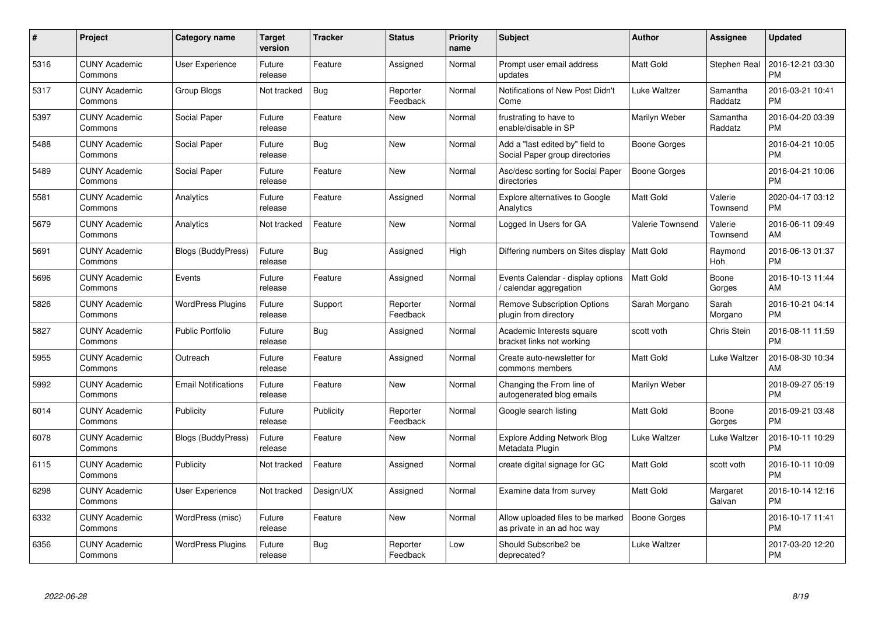| $\pmb{\#}$ | Project                         | Category name              | Target<br>version | <b>Tracker</b> | <b>Status</b>        | <b>Priority</b><br>name | <b>Subject</b>                                                    | Author              | <b>Assignee</b>     | <b>Updated</b>                |
|------------|---------------------------------|----------------------------|-------------------|----------------|----------------------|-------------------------|-------------------------------------------------------------------|---------------------|---------------------|-------------------------------|
| 5316       | <b>CUNY Academic</b><br>Commons | <b>User Experience</b>     | Future<br>release | Feature        | Assigned             | Normal                  | Prompt user email address<br>updates                              | Matt Gold           | Stephen Real        | 2016-12-21 03:30<br><b>PM</b> |
| 5317       | <b>CUNY Academic</b><br>Commons | Group Blogs                | Not tracked       | Bug            | Reporter<br>Feedback | Normal                  | Notifications of New Post Didn't<br>Come                          | <b>Luke Waltzer</b> | Samantha<br>Raddatz | 2016-03-21 10:41<br>PM        |
| 5397       | <b>CUNY Academic</b><br>Commons | Social Paper               | Future<br>release | Feature        | New                  | Normal                  | frustrating to have to<br>enable/disable in SP                    | Marilyn Weber       | Samantha<br>Raddatz | 2016-04-20 03:39<br>PM        |
| 5488       | <b>CUNY Academic</b><br>Commons | Social Paper               | Future<br>release | <b>Bug</b>     | <b>New</b>           | Normal                  | Add a "last edited by" field to<br>Social Paper group directories | <b>Boone Gorges</b> |                     | 2016-04-21 10:05<br><b>PM</b> |
| 5489       | <b>CUNY Academic</b><br>Commons | Social Paper               | Future<br>release | Feature        | <b>New</b>           | Normal                  | Asc/desc sorting for Social Paper<br>directories                  | <b>Boone Gorges</b> |                     | 2016-04-21 10:06<br><b>PM</b> |
| 5581       | <b>CUNY Academic</b><br>Commons | Analytics                  | Future<br>release | Feature        | Assigned             | Normal                  | <b>Explore alternatives to Google</b><br>Analytics                | Matt Gold           | Valerie<br>Townsend | 2020-04-17 03:12<br>PМ        |
| 5679       | <b>CUNY Academic</b><br>Commons | Analytics                  | Not tracked       | Feature        | <b>New</b>           | Normal                  | Logged In Users for GA                                            | Valerie Townsend    | Valerie<br>Townsend | 2016-06-11 09:49<br>AM        |
| 5691       | <b>CUNY Academic</b><br>Commons | <b>Blogs (BuddyPress)</b>  | Future<br>release | Bug            | Assigned             | High                    | Differing numbers on Sites display   Matt Gold                    |                     | Raymond<br>Hoh      | 2016-06-13 01:37<br><b>PM</b> |
| 5696       | <b>CUNY Academic</b><br>Commons | Events                     | Future<br>release | Feature        | Assigned             | Normal                  | Events Calendar - display options<br>/ calendar aggregation       | Matt Gold           | Boone<br>Gorges     | 2016-10-13 11:44<br>AM        |
| 5826       | <b>CUNY Academic</b><br>Commons | <b>WordPress Plugins</b>   | Future<br>release | Support        | Reporter<br>Feedback | Normal                  | Remove Subscription Options<br>plugin from directory              | Sarah Morgano       | Sarah<br>Morgano    | 2016-10-21 04:14<br><b>PM</b> |
| 5827       | <b>CUNY Academic</b><br>Commons | <b>Public Portfolio</b>    | Future<br>release | <b>Bug</b>     | Assigned             | Normal                  | Academic Interests square<br>bracket links not working            | scott voth          | Chris Stein         | 2016-08-11 11:59<br>PM        |
| 5955       | <b>CUNY Academic</b><br>Commons | Outreach                   | Future<br>release | Feature        | Assigned             | Normal                  | Create auto-newsletter for<br>commons members                     | Matt Gold           | Luke Waltzer        | 2016-08-30 10:34<br>AM        |
| 5992       | <b>CUNY Academic</b><br>Commons | <b>Email Notifications</b> | Future<br>release | Feature        | New                  | Normal                  | Changing the From line of<br>autogenerated blog emails            | Marilyn Weber       |                     | 2018-09-27 05:19<br>PM        |
| 6014       | <b>CUNY Academic</b><br>Commons | Publicity                  | Future<br>release | Publicity      | Reporter<br>Feedback | Normal                  | Google search listing                                             | <b>Matt Gold</b>    | Boone<br>Gorges     | 2016-09-21 03:48<br>РM        |
| 6078       | <b>CUNY Academic</b><br>Commons | <b>Blogs (BuddyPress)</b>  | Future<br>release | Feature        | <b>New</b>           | Normal                  | <b>Explore Adding Network Blog</b><br>Metadata Plugin             | Luke Waltzer        | Luke Waltzer        | 2016-10-11 10:29<br>PM        |
| 6115       | <b>CUNY Academic</b><br>Commons | Publicity                  | Not tracked       | Feature        | Assigned             | Normal                  | create digital signage for GC                                     | Matt Gold           | scott voth          | 2016-10-11 10:09<br><b>PM</b> |
| 6298       | <b>CUNY Academic</b><br>Commons | <b>User Experience</b>     | Not tracked       | Design/UX      | Assigned             | Normal                  | Examine data from survey                                          | <b>Matt Gold</b>    | Margaret<br>Galvan  | 2016-10-14 12:16<br><b>PM</b> |
| 6332       | <b>CUNY Academic</b><br>Commons | WordPress (misc)           | Future<br>release | Feature        | <b>New</b>           | Normal                  | Allow uploaded files to be marked<br>as private in an ad hoc way  | <b>Boone Gorges</b> |                     | 2016-10-17 11:41<br><b>PM</b> |
| 6356       | <b>CUNY Academic</b><br>Commons | <b>WordPress Plugins</b>   | Future<br>release | <b>Bug</b>     | Reporter<br>Feedback | Low                     | Should Subscribe2 be<br>deprecated?                               | Luke Waltzer        |                     | 2017-03-20 12:20<br>PM        |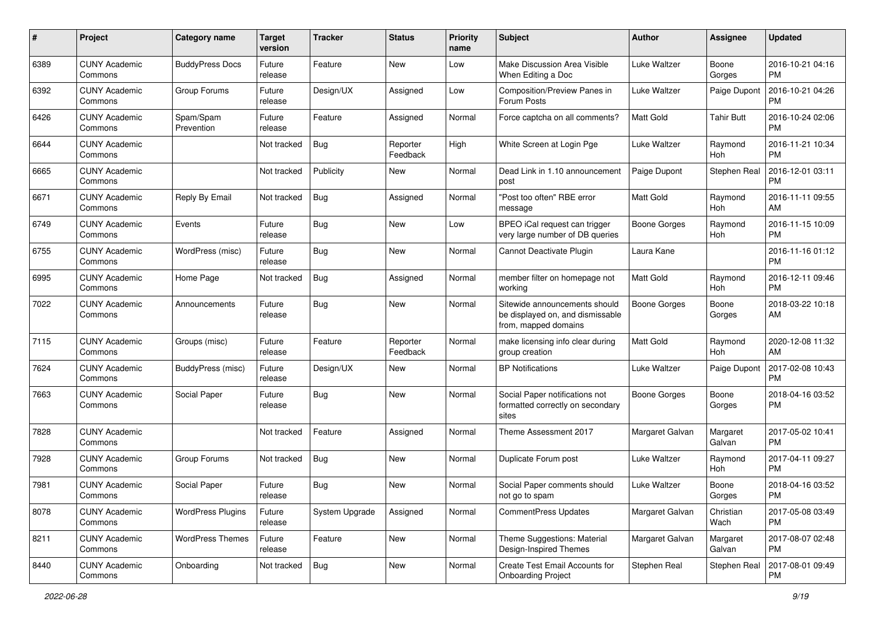| #    | Project                         | Category name            | <b>Target</b><br>version | <b>Tracker</b> | <b>Status</b>        | <b>Priority</b><br>name | <b>Subject</b>                                                                            | Author              | <b>Assignee</b>    | <b>Updated</b>                |
|------|---------------------------------|--------------------------|--------------------------|----------------|----------------------|-------------------------|-------------------------------------------------------------------------------------------|---------------------|--------------------|-------------------------------|
| 6389 | <b>CUNY Academic</b><br>Commons | <b>BuddyPress Docs</b>   | Future<br>release        | Feature        | New                  | Low                     | Make Discussion Area Visible<br>When Editing a Doc                                        | Luke Waltzer        | Boone<br>Gorges    | 2016-10-21 04:16<br>PM        |
| 6392 | <b>CUNY Academic</b><br>Commons | Group Forums             | Future<br>release        | Design/UX      | Assigned             | Low                     | Composition/Preview Panes in<br>Forum Posts                                               | Luke Waltzer        | Paige Dupont       | 2016-10-21 04:26<br><b>PM</b> |
| 6426 | <b>CUNY Academic</b><br>Commons | Spam/Spam<br>Prevention  | Future<br>release        | Feature        | Assigned             | Normal                  | Force captcha on all comments?                                                            | Matt Gold           | <b>Tahir Butt</b>  | 2016-10-24 02:06<br><b>PM</b> |
| 6644 | <b>CUNY Academic</b><br>Commons |                          | Not tracked              | <b>Bug</b>     | Reporter<br>Feedback | High                    | White Screen at Login Pge                                                                 | Luke Waltzer        | Raymond<br>Hoh     | 2016-11-21 10:34<br><b>PM</b> |
| 6665 | <b>CUNY Academic</b><br>Commons |                          | Not tracked              | Publicity      | <b>New</b>           | Normal                  | Dead Link in 1.10 announcement<br>post                                                    | Paige Dupont        | Stephen Real       | 2016-12-01 03:11<br><b>PM</b> |
| 6671 | <b>CUNY Academic</b><br>Commons | Reply By Email           | Not tracked              | <b>Bug</b>     | Assigned             | Normal                  | "Post too often" RBE error<br>message                                                     | Matt Gold           | Raymond<br>Hoh     | 2016-11-11 09:55<br>AM        |
| 6749 | <b>CUNY Academic</b><br>Commons | Events                   | Future<br>release        | <b>Bug</b>     | <b>New</b>           | Low                     | BPEO iCal request can trigger<br>very large number of DB queries                          | <b>Boone Gorges</b> | Raymond<br>Hoh     | 2016-11-15 10:09<br><b>PM</b> |
| 6755 | <b>CUNY Academic</b><br>Commons | WordPress (misc)         | Future<br>release        | <b>Bug</b>     | <b>New</b>           | Normal                  | Cannot Deactivate Plugin                                                                  | Laura Kane          |                    | 2016-11-16 01:12<br><b>PM</b> |
| 6995 | <b>CUNY Academic</b><br>Commons | Home Page                | Not tracked              | <b>Bug</b>     | Assigned             | Normal                  | member filter on homepage not<br>working                                                  | <b>Matt Gold</b>    | Raymond<br>Hoh     | 2016-12-11 09:46<br><b>PM</b> |
| 7022 | <b>CUNY Academic</b><br>Commons | Announcements            | Future<br>release        | <b>Bug</b>     | <b>New</b>           | Normal                  | Sitewide announcements should<br>be displayed on, and dismissable<br>from, mapped domains | <b>Boone Gorges</b> | Boone<br>Gorges    | 2018-03-22 10:18<br>AM        |
| 7115 | <b>CUNY Academic</b><br>Commons | Groups (misc)            | Future<br>release        | Feature        | Reporter<br>Feedback | Normal                  | make licensing info clear during<br>group creation                                        | <b>Matt Gold</b>    | Raymond<br>Hoh     | 2020-12-08 11:32<br>AM        |
| 7624 | <b>CUNY Academic</b><br>Commons | BuddyPress (misc)        | Future<br>release        | Design/UX      | <b>New</b>           | Normal                  | <b>BP</b> Notifications                                                                   | Luke Waltzer        | Paige Dupont       | 2017-02-08 10:43<br><b>PM</b> |
| 7663 | <b>CUNY Academic</b><br>Commons | Social Paper             | Future<br>release        | <b>Bug</b>     | New                  | Normal                  | Social Paper notifications not<br>formatted correctly on secondary<br>sites               | Boone Gorges        | Boone<br>Gorges    | 2018-04-16 03:52<br>PM        |
| 7828 | <b>CUNY Academic</b><br>Commons |                          | Not tracked              | Feature        | Assigned             | Normal                  | Theme Assessment 2017                                                                     | Margaret Galvan     | Margaret<br>Galvan | 2017-05-02 10:41<br><b>PM</b> |
| 7928 | <b>CUNY Academic</b><br>Commons | Group Forums             | Not tracked              | <b>Bug</b>     | New                  | Normal                  | Duplicate Forum post                                                                      | Luke Waltzer        | Raymond<br>Hoh     | 2017-04-11 09:27<br><b>PM</b> |
| 7981 | <b>CUNY Academic</b><br>Commons | Social Paper             | Future<br>release        | <b>Bug</b>     | <b>New</b>           | Normal                  | Social Paper comments should<br>not go to spam                                            | Luke Waltzer        | Boone<br>Gorges    | 2018-04-16 03:52<br>PM        |
| 8078 | <b>CUNY Academic</b><br>Commons | <b>WordPress Plugins</b> | Future<br>release        | System Upgrade | Assigned             | Normal                  | CommentPress Updates                                                                      | Margaret Galvan     | Christian<br>Wach  | 2017-05-08 03:49<br>PM        |
| 8211 | <b>CUNY Academic</b><br>Commons | <b>WordPress Themes</b>  | Future<br>release        | Feature        | New                  | Normal                  | Theme Suggestions: Material<br>Design-Inspired Themes                                     | Margaret Galvan     | Margaret<br>Galvan | 2017-08-07 02:48<br><b>PM</b> |
| 8440 | <b>CUNY Academic</b><br>Commons | Onboarding               | Not tracked              | i Bug          | New                  | Normal                  | Create Test Email Accounts for<br><b>Onboarding Project</b>                               | Stephen Real        | Stephen Real       | 2017-08-01 09:49<br><b>PM</b> |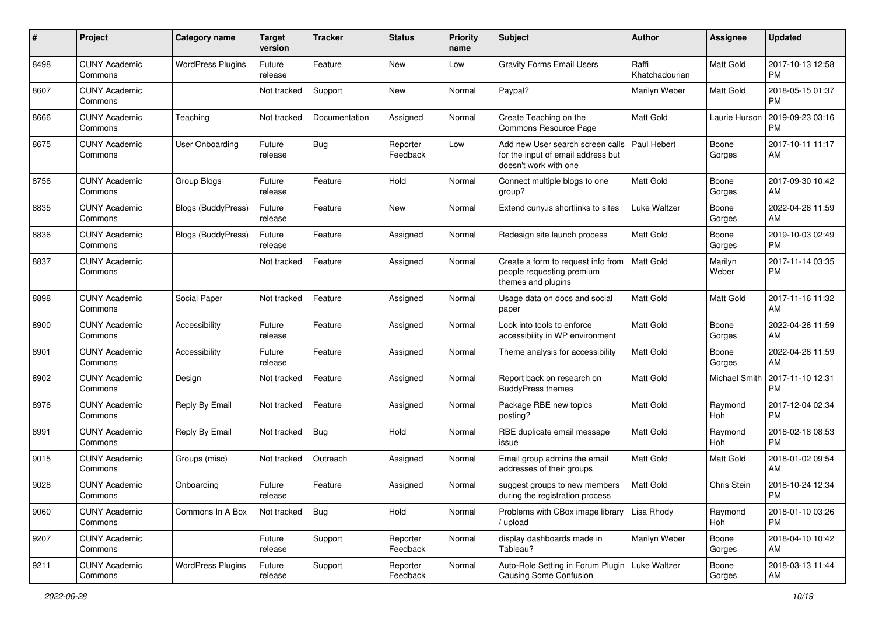| #    | Project                         | <b>Category name</b>      | <b>Target</b><br>version | <b>Tracker</b> | <b>Status</b>        | <b>Priority</b><br>name | Subject                                                                                         | <b>Author</b>           | <b>Assignee</b>  | <b>Updated</b>                |
|------|---------------------------------|---------------------------|--------------------------|----------------|----------------------|-------------------------|-------------------------------------------------------------------------------------------------|-------------------------|------------------|-------------------------------|
| 8498 | <b>CUNY Academic</b><br>Commons | <b>WordPress Plugins</b>  | Future<br>release        | Feature        | <b>New</b>           | Low                     | <b>Gravity Forms Email Users</b>                                                                | Raffi<br>Khatchadourian | Matt Gold        | 2017-10-13 12:58<br><b>PM</b> |
| 8607 | <b>CUNY Academic</b><br>Commons |                           | Not tracked              | Support        | New                  | Normal                  | Paypal?                                                                                         | Marilyn Weber           | Matt Gold        | 2018-05-15 01:37<br><b>PM</b> |
| 8666 | <b>CUNY Academic</b><br>Commons | Teaching                  | Not tracked              | Documentation  | Assigned             | Normal                  | Create Teaching on the<br>Commons Resource Page                                                 | Matt Gold               | Laurie Hurson    | 2019-09-23 03:16<br><b>PM</b> |
| 8675 | <b>CUNY Academic</b><br>Commons | <b>User Onboarding</b>    | Future<br>release        | Bug            | Reporter<br>Feedback | Low                     | Add new User search screen calls<br>for the input of email address but<br>doesn't work with one | Paul Hebert             | Boone<br>Gorges  | 2017-10-11 11:17<br>AM        |
| 8756 | <b>CUNY Academic</b><br>Commons | Group Blogs               | Future<br>release        | Feature        | Hold                 | Normal                  | Connect multiple blogs to one<br>group?                                                         | Matt Gold               | Boone<br>Gorges  | 2017-09-30 10:42<br>AM        |
| 8835 | <b>CUNY Academic</b><br>Commons | Blogs (BuddyPress)        | Future<br>release        | Feature        | New                  | Normal                  | Extend cuny.is shortlinks to sites                                                              | Luke Waltzer            | Boone<br>Gorges  | 2022-04-26 11:59<br>AM        |
| 8836 | <b>CUNY Academic</b><br>Commons | <b>Blogs (BuddyPress)</b> | Future<br>release        | Feature        | Assigned             | Normal                  | Redesign site launch process                                                                    | <b>Matt Gold</b>        | Boone<br>Gorges  | 2019-10-03 02:49<br><b>PM</b> |
| 8837 | <b>CUNY Academic</b><br>Commons |                           | Not tracked              | Feature        | Assigned             | Normal                  | Create a form to request info from<br>people requesting premium<br>themes and plugins           | <b>Matt Gold</b>        | Marilyn<br>Weber | 2017-11-14 03:35<br><b>PM</b> |
| 8898 | <b>CUNY Academic</b><br>Commons | Social Paper              | Not tracked              | Feature        | Assigned             | Normal                  | Usage data on docs and social<br>paper                                                          | <b>Matt Gold</b>        | Matt Gold        | 2017-11-16 11:32<br>AM        |
| 8900 | <b>CUNY Academic</b><br>Commons | Accessibility             | Future<br>release        | Feature        | Assigned             | Normal                  | Look into tools to enforce<br>accessibility in WP environment                                   | <b>Matt Gold</b>        | Boone<br>Gorges  | 2022-04-26 11:59<br>AM        |
| 8901 | <b>CUNY Academic</b><br>Commons | Accessibility             | Future<br>release        | Feature        | Assigned             | Normal                  | Theme analysis for accessibility                                                                | <b>Matt Gold</b>        | Boone<br>Gorges  | 2022-04-26 11:59<br>AM        |
| 8902 | <b>CUNY Academic</b><br>Commons | Design                    | Not tracked              | Feature        | Assigned             | Normal                  | Report back on research on<br><b>BuddyPress themes</b>                                          | Matt Gold               | Michael Smith    | 2017-11-10 12:31<br><b>PM</b> |
| 8976 | <b>CUNY Academic</b><br>Commons | Reply By Email            | Not tracked              | Feature        | Assigned             | Normal                  | Package RBE new topics<br>posting?                                                              | Matt Gold               | Raymond<br>Hoh   | 2017-12-04 02:34<br><b>PM</b> |
| 8991 | <b>CUNY Academic</b><br>Commons | Reply By Email            | Not tracked              | Bug            | Hold                 | Normal                  | RBE duplicate email message<br>issue                                                            | <b>Matt Gold</b>        | Raymond<br>Hoh   | 2018-02-18 08:53<br><b>PM</b> |
| 9015 | <b>CUNY Academic</b><br>Commons | Groups (misc)             | Not tracked              | Outreach       | Assigned             | Normal                  | Email group admins the email<br>addresses of their groups                                       | <b>Matt Gold</b>        | Matt Gold        | 2018-01-02 09:54<br>AM        |
| 9028 | <b>CUNY Academic</b><br>Commons | Onboarding                | Future<br>release        | Feature        | Assigned             | Normal                  | suggest groups to new members<br>during the registration process                                | <b>Matt Gold</b>        | Chris Stein      | 2018-10-24 12:34<br>PM        |
| 9060 | <b>CUNY Academic</b><br>Commons | Commons In A Box          | Not tracked              | Bug            | Hold                 | Normal                  | Problems with CBox image library<br>/ upload                                                    | Lisa Rhody              | Raymond<br>Hoh   | 2018-01-10 03:26<br><b>PM</b> |
| 9207 | <b>CUNY Academic</b><br>Commons |                           | Future<br>release        | Support        | Reporter<br>Feedback | Normal                  | display dashboards made in<br>Tableau?                                                          | Marilyn Weber           | Boone<br>Gorges  | 2018-04-10 10:42<br>AM        |
| 9211 | <b>CUNY Academic</b><br>Commons | <b>WordPress Plugins</b>  | Future<br>release        | Support        | Reporter<br>Feedback | Normal                  | Auto-Role Setting in Forum Plugin<br>Causing Some Confusion                                     | Luke Waltzer            | Boone<br>Gorges  | 2018-03-13 11:44<br>AM        |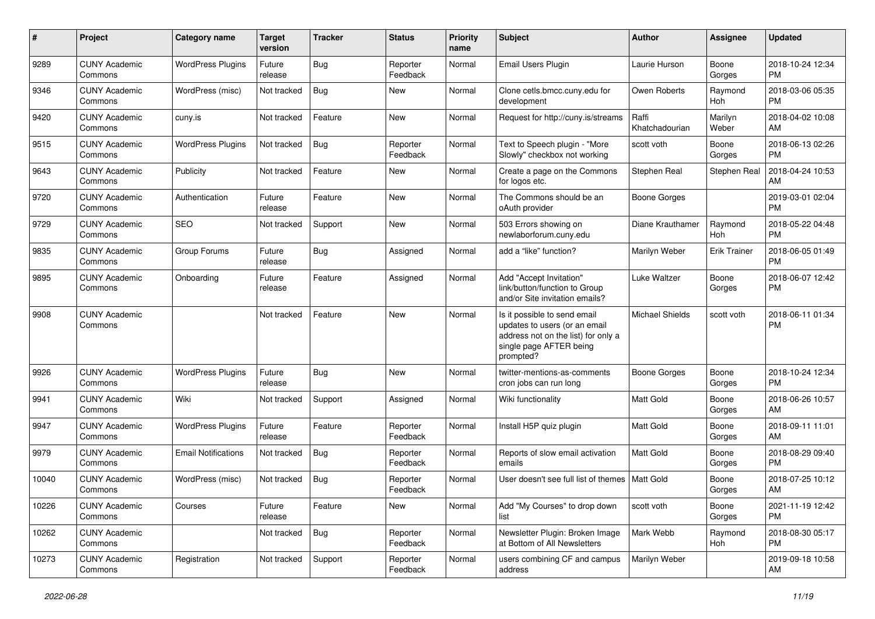| #     | Project                         | <b>Category name</b>       | <b>Target</b><br>version | <b>Tracker</b> | <b>Status</b>        | <b>Priority</b><br>name | Subject                                                                                                                                      | <b>Author</b>           | <b>Assignee</b>       | <b>Updated</b>                |
|-------|---------------------------------|----------------------------|--------------------------|----------------|----------------------|-------------------------|----------------------------------------------------------------------------------------------------------------------------------------------|-------------------------|-----------------------|-------------------------------|
| 9289  | <b>CUNY Academic</b><br>Commons | <b>WordPress Plugins</b>   | Future<br>release        | <b>Bug</b>     | Reporter<br>Feedback | Normal                  | Email Users Plugin                                                                                                                           | Laurie Hurson           | Boone<br>Gorges       | 2018-10-24 12:34<br><b>PM</b> |
| 9346  | <b>CUNY Academic</b><br>Commons | WordPress (misc)           | Not tracked              | Bug            | New                  | Normal                  | Clone cetls.bmcc.cuny.edu for<br>development                                                                                                 | Owen Roberts            | Raymond<br><b>Hoh</b> | 2018-03-06 05:35<br><b>PM</b> |
| 9420  | <b>CUNY Academic</b><br>Commons | cuny.is                    | Not tracked              | Feature        | New                  | Normal                  | Request for http://cuny.is/streams                                                                                                           | Raffi<br>Khatchadourian | Marilyn<br>Weber      | 2018-04-02 10:08<br>AM        |
| 9515  | <b>CUNY Academic</b><br>Commons | <b>WordPress Plugins</b>   | Not tracked              | Bug            | Reporter<br>Feedback | Normal                  | Text to Speech plugin - "More<br>Slowly" checkbox not working                                                                                | scott voth              | Boone<br>Gorges       | 2018-06-13 02:26<br><b>PM</b> |
| 9643  | <b>CUNY Academic</b><br>Commons | Publicity                  | Not tracked              | Feature        | New                  | Normal                  | Create a page on the Commons<br>for logos etc.                                                                                               | Stephen Real            | Stephen Real          | 2018-04-24 10:53<br>AM        |
| 9720  | <b>CUNY Academic</b><br>Commons | Authentication             | Future<br>release        | Feature        | New                  | Normal                  | The Commons should be an<br>oAuth provider                                                                                                   | <b>Boone Gorges</b>     |                       | 2019-03-01 02:04<br><b>PM</b> |
| 9729  | <b>CUNY Academic</b><br>Commons | <b>SEO</b>                 | Not tracked              | Support        | <b>New</b>           | Normal                  | 503 Errors showing on<br>newlaborforum.cuny.edu                                                                                              | Diane Krauthamer        | Raymond<br>Hoh        | 2018-05-22 04:48<br><b>PM</b> |
| 9835  | <b>CUNY Academic</b><br>Commons | Group Forums               | Future<br>release        | <b>Bug</b>     | Assigned             | Normal                  | add a "like" function?                                                                                                                       | Marilyn Weber           | <b>Erik Trainer</b>   | 2018-06-05 01:49<br><b>PM</b> |
| 9895  | <b>CUNY Academic</b><br>Commons | Onboarding                 | Future<br>release        | Feature        | Assigned             | Normal                  | Add "Accept Invitation"<br>link/button/function to Group<br>and/or Site invitation emails?                                                   | Luke Waltzer            | Boone<br>Gorges       | 2018-06-07 12:42<br><b>PM</b> |
| 9908  | <b>CUNY Academic</b><br>Commons |                            | Not tracked              | Feature        | <b>New</b>           | Normal                  | Is it possible to send email<br>updates to users (or an email<br>address not on the list) for only a<br>single page AFTER being<br>prompted? | <b>Michael Shields</b>  | scott voth            | 2018-06-11 01:34<br><b>PM</b> |
| 9926  | <b>CUNY Academic</b><br>Commons | <b>WordPress Plugins</b>   | Future<br>release        | <b>Bug</b>     | <b>New</b>           | Normal                  | twitter-mentions-as-comments<br>cron jobs can run long                                                                                       | <b>Boone Gorges</b>     | Boone<br>Gorges       | 2018-10-24 12:34<br><b>PM</b> |
| 9941  | <b>CUNY Academic</b><br>Commons | Wiki                       | Not tracked              | Support        | Assigned             | Normal                  | Wiki functionality                                                                                                                           | Matt Gold               | Boone<br>Gorges       | 2018-06-26 10:57<br>AM        |
| 9947  | <b>CUNY Academic</b><br>Commons | <b>WordPress Plugins</b>   | Future<br>release        | Feature        | Reporter<br>Feedback | Normal                  | Install H5P quiz plugin                                                                                                                      | <b>Matt Gold</b>        | Boone<br>Gorges       | 2018-09-11 11:01<br>AM        |
| 9979  | <b>CUNY Academic</b><br>Commons | <b>Email Notifications</b> | Not tracked              | Bug            | Reporter<br>Feedback | Normal                  | Reports of slow email activation<br>emails                                                                                                   | <b>Matt Gold</b>        | Boone<br>Gorges       | 2018-08-29 09:40<br><b>PM</b> |
| 10040 | <b>CUNY Academic</b><br>Commons | WordPress (misc)           | Not tracked              | <b>Bug</b>     | Reporter<br>Feedback | Normal                  | User doesn't see full list of themes                                                                                                         | Matt Gold               | Boone<br>Gorges       | 2018-07-25 10:12<br>AM        |
| 10226 | <b>CUNY Academic</b><br>Commons | Courses                    | Future<br>release        | Feature        | New                  | Normal                  | Add "My Courses" to drop down<br>list                                                                                                        | scott voth              | Boone<br>Gorges       | 2021-11-19 12:42<br><b>PM</b> |
| 10262 | <b>CUNY Academic</b><br>Commons |                            | Not tracked              | Bug            | Reporter<br>Feedback | Normal                  | Newsletter Plugin: Broken Image<br>at Bottom of All Newsletters                                                                              | Mark Webb               | Raymond<br>Hoh        | 2018-08-30 05:17<br>PM        |
| 10273 | <b>CUNY Academic</b><br>Commons | Registration               | Not tracked              | Support        | Reporter<br>Feedback | Normal                  | users combining CF and campus<br>address                                                                                                     | Marilyn Weber           |                       | 2019-09-18 10:58<br>AM        |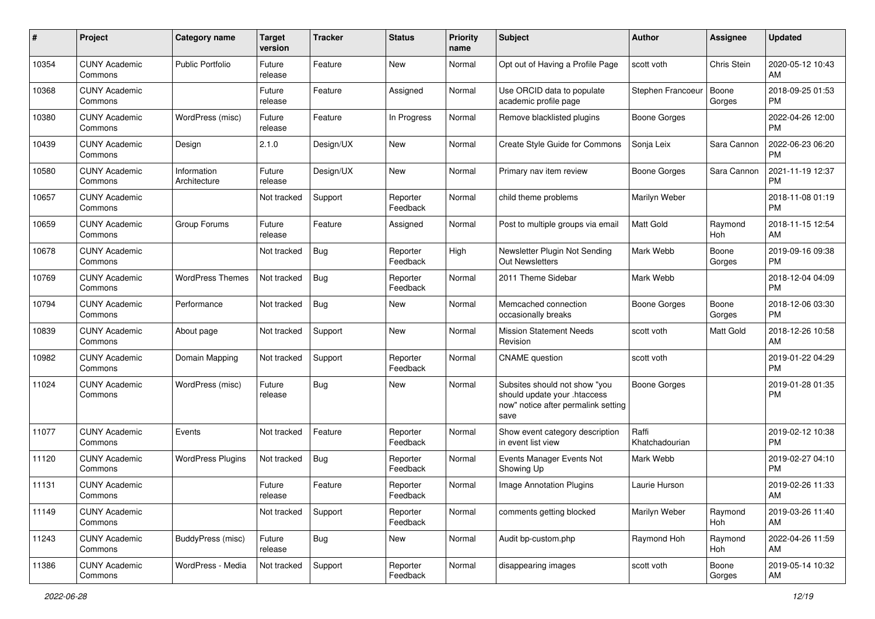| #     | Project                         | <b>Category name</b>        | <b>Target</b><br>version | <b>Tracker</b> | <b>Status</b>        | <b>Priority</b><br>name | Subject                                                                                                      | Author                  | <b>Assignee</b>    | <b>Updated</b>                |
|-------|---------------------------------|-----------------------------|--------------------------|----------------|----------------------|-------------------------|--------------------------------------------------------------------------------------------------------------|-------------------------|--------------------|-------------------------------|
| 10354 | <b>CUNY Academic</b><br>Commons | <b>Public Portfolio</b>     | Future<br>release        | Feature        | New                  | Normal                  | Opt out of Having a Profile Page                                                                             | scott voth              | <b>Chris Stein</b> | 2020-05-12 10:43<br>AM        |
| 10368 | <b>CUNY Academic</b><br>Commons |                             | Future<br>release        | Feature        | Assigned             | Normal                  | Use ORCID data to populate<br>academic profile page                                                          | Stephen Francoeur       | Boone<br>Gorges    | 2018-09-25 01:53<br><b>PM</b> |
| 10380 | <b>CUNY Academic</b><br>Commons | WordPress (misc)            | Future<br>release        | Feature        | In Progress          | Normal                  | Remove blacklisted plugins                                                                                   | <b>Boone Gorges</b>     |                    | 2022-04-26 12:00<br><b>PM</b> |
| 10439 | <b>CUNY Academic</b><br>Commons | Design                      | 2.1.0                    | Design/UX      | New                  | Normal                  | Create Style Guide for Commons                                                                               | Sonja Leix              | Sara Cannon        | 2022-06-23 06:20<br><b>PM</b> |
| 10580 | <b>CUNY Academic</b><br>Commons | Information<br>Architecture | Future<br>release        | Design/UX      | New                  | Normal                  | Primary nav item review                                                                                      | Boone Gorges            | Sara Cannon        | 2021-11-19 12:37<br><b>PM</b> |
| 10657 | <b>CUNY Academic</b><br>Commons |                             | Not tracked              | Support        | Reporter<br>Feedback | Normal                  | child theme problems                                                                                         | Marilyn Weber           |                    | 2018-11-08 01:19<br><b>PM</b> |
| 10659 | <b>CUNY Academic</b><br>Commons | Group Forums                | Future<br>release        | Feature        | Assigned             | Normal                  | Post to multiple groups via email                                                                            | Matt Gold               | Raymond<br>Hoh     | 2018-11-15 12:54<br>AM        |
| 10678 | <b>CUNY Academic</b><br>Commons |                             | Not tracked              | <b>Bug</b>     | Reporter<br>Feedback | High                    | Newsletter Plugin Not Sending<br><b>Out Newsletters</b>                                                      | Mark Webb               | Boone<br>Gorges    | 2019-09-16 09:38<br><b>PM</b> |
| 10769 | <b>CUNY Academic</b><br>Commons | <b>WordPress Themes</b>     | Not tracked              | <b>Bug</b>     | Reporter<br>Feedback | Normal                  | 2011 Theme Sidebar                                                                                           | Mark Webb               |                    | 2018-12-04 04:09<br><b>PM</b> |
| 10794 | <b>CUNY Academic</b><br>Commons | Performance                 | Not tracked              | i Bug          | New                  | Normal                  | Memcached connection<br>occasionally breaks                                                                  | Boone Gorges            | Boone<br>Gorges    | 2018-12-06 03:30<br><b>PM</b> |
| 10839 | <b>CUNY Academic</b><br>Commons | About page                  | Not tracked              | Support        | New                  | Normal                  | <b>Mission Statement Needs</b><br>Revision                                                                   | scott voth              | Matt Gold          | 2018-12-26 10:58<br>AM        |
| 10982 | <b>CUNY Academic</b><br>Commons | Domain Mapping              | Not tracked              | Support        | Reporter<br>Feedback | Normal                  | <b>CNAME</b> question                                                                                        | scott voth              |                    | 2019-01-22 04:29<br><b>PM</b> |
| 11024 | <b>CUNY Academic</b><br>Commons | WordPress (misc)            | Future<br>release        | <b>Bug</b>     | New                  | Normal                  | Subsites should not show "you<br>should update your .htaccess<br>now" notice after permalink setting<br>save | <b>Boone Gorges</b>     |                    | 2019-01-28 01:35<br><b>PM</b> |
| 11077 | <b>CUNY Academic</b><br>Commons | Events                      | Not tracked              | Feature        | Reporter<br>Feedback | Normal                  | Show event category description<br>in event list view                                                        | Raffi<br>Khatchadourian |                    | 2019-02-12 10:38<br><b>PM</b> |
| 11120 | <b>CUNY Academic</b><br>Commons | <b>WordPress Plugins</b>    | Not tracked              | <b>Bug</b>     | Reporter<br>Feedback | Normal                  | Events Manager Events Not<br>Showing Up                                                                      | Mark Webb               |                    | 2019-02-27 04:10<br><b>PM</b> |
| 11131 | <b>CUNY Academic</b><br>Commons |                             | Future<br>release        | Feature        | Reporter<br>Feedback | Normal                  | <b>Image Annotation Plugins</b>                                                                              | Laurie Hurson           |                    | 2019-02-26 11:33<br>AM        |
| 11149 | <b>CUNY Academic</b><br>Commons |                             | Not tracked              | Support        | Reporter<br>Feedback | Normal                  | comments getting blocked                                                                                     | <b>Marilyn Weber</b>    | Raymond<br>Hoh     | 2019-03-26 11:40<br>AM        |
| 11243 | <b>CUNY Academic</b><br>Commons | BuddyPress (misc)           | Future<br>release        | <b>Bug</b>     | New                  | Normal                  | Audit bp-custom.php                                                                                          | Raymond Hoh             | Raymond<br>Hoh     | 2022-04-26 11:59<br>AM        |
| 11386 | <b>CUNY Academic</b><br>Commons | WordPress - Media           | Not tracked              | Support        | Reporter<br>Feedback | Normal                  | disappearing images                                                                                          | scott voth              | Boone<br>Gorges    | 2019-05-14 10:32<br>AM        |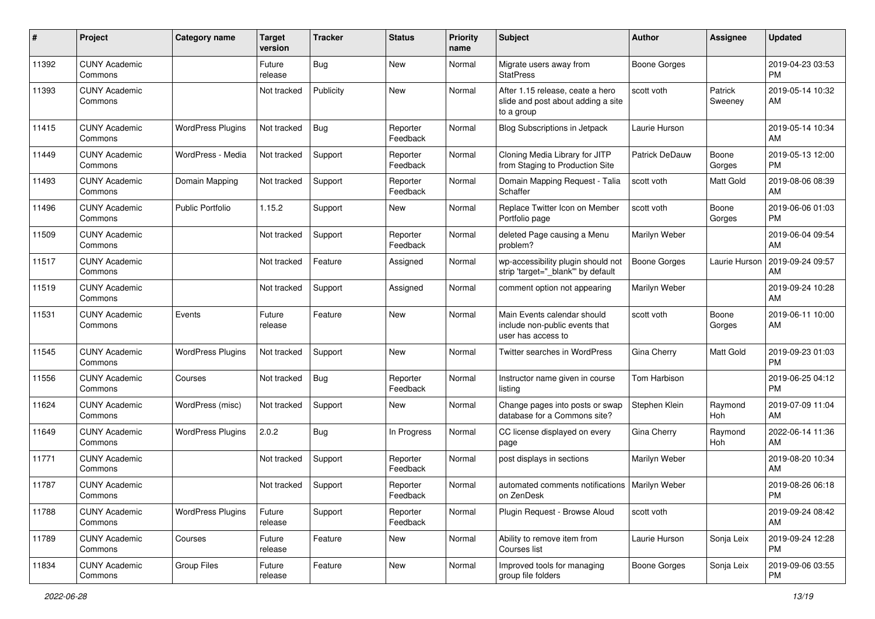| #     | Project                         | <b>Category name</b>     | <b>Target</b><br>version | <b>Tracker</b> | <b>Status</b>        | <b>Priority</b><br>name | <b>Subject</b>                                                                       | <b>Author</b>         | <b>Assignee</b>    | <b>Updated</b>                |
|-------|---------------------------------|--------------------------|--------------------------|----------------|----------------------|-------------------------|--------------------------------------------------------------------------------------|-----------------------|--------------------|-------------------------------|
| 11392 | <b>CUNY Academic</b><br>Commons |                          | Future<br>release        | <b>Bug</b>     | <b>New</b>           | Normal                  | Migrate users away from<br><b>StatPress</b>                                          | <b>Boone Gorges</b>   |                    | 2019-04-23 03:53<br><b>PM</b> |
| 11393 | <b>CUNY Academic</b><br>Commons |                          | Not tracked              | Publicity      | New                  | Normal                  | After 1.15 release, ceate a hero<br>slide and post about adding a site<br>to a group | scott voth            | Patrick<br>Sweeney | 2019-05-14 10:32<br>AM        |
| 11415 | <b>CUNY Academic</b><br>Commons | <b>WordPress Plugins</b> | Not tracked              | <b>Bug</b>     | Reporter<br>Feedback | Normal                  | <b>Blog Subscriptions in Jetpack</b>                                                 | Laurie Hurson         |                    | 2019-05-14 10:34<br>AM        |
| 11449 | <b>CUNY Academic</b><br>Commons | WordPress - Media        | Not tracked              | Support        | Reporter<br>Feedback | Normal                  | Cloning Media Library for JITP<br>from Staging to Production Site                    | <b>Patrick DeDauw</b> | Boone<br>Gorges    | 2019-05-13 12:00<br><b>PM</b> |
| 11493 | <b>CUNY Academic</b><br>Commons | Domain Mapping           | Not tracked              | Support        | Reporter<br>Feedback | Normal                  | Domain Mapping Request - Talia<br>Schaffer                                           | scott voth            | <b>Matt Gold</b>   | 2019-08-06 08:39<br>AM        |
| 11496 | <b>CUNY Academic</b><br>Commons | <b>Public Portfolio</b>  | 1.15.2                   | Support        | New                  | Normal                  | Replace Twitter Icon on Member<br>Portfolio page                                     | scott voth            | Boone<br>Gorges    | 2019-06-06 01:03<br><b>PM</b> |
| 11509 | <b>CUNY Academic</b><br>Commons |                          | Not tracked              | Support        | Reporter<br>Feedback | Normal                  | deleted Page causing a Menu<br>problem?                                              | Marilyn Weber         |                    | 2019-06-04 09:54<br>AM        |
| 11517 | <b>CUNY Academic</b><br>Commons |                          | Not tracked              | Feature        | Assigned             | Normal                  | wp-accessibility plugin should not<br>strip 'target="_blank" by default              | <b>Boone Gorges</b>   | Laurie Hurson      | 2019-09-24 09:57<br>AM        |
| 11519 | <b>CUNY Academic</b><br>Commons |                          | Not tracked              | Support        | Assigned             | Normal                  | comment option not appearing                                                         | Marilyn Weber         |                    | 2019-09-24 10:28<br>AM        |
| 11531 | <b>CUNY Academic</b><br>Commons | Events                   | Future<br>release        | Feature        | New                  | Normal                  | Main Events calendar should<br>include non-public events that<br>user has access to  | scott voth            | Boone<br>Gorges    | 2019-06-11 10:00<br>AM        |
| 11545 | <b>CUNY Academic</b><br>Commons | <b>WordPress Plugins</b> | Not tracked              | Support        | New                  | Normal                  | Twitter searches in WordPress                                                        | Gina Cherry           | Matt Gold          | 2019-09-23 01:03<br><b>PM</b> |
| 11556 | <b>CUNY Academic</b><br>Commons | Courses                  | Not tracked              | <b>Bug</b>     | Reporter<br>Feedback | Normal                  | Instructor name given in course<br>listing                                           | Tom Harbison          |                    | 2019-06-25 04:12<br><b>PM</b> |
| 11624 | <b>CUNY Academic</b><br>Commons | WordPress (misc)         | Not tracked              | Support        | New                  | Normal                  | Change pages into posts or swap<br>database for a Commons site?                      | Stephen Klein         | Raymond<br>Hoh     | 2019-07-09 11:04<br>AM        |
| 11649 | <b>CUNY Academic</b><br>Commons | <b>WordPress Plugins</b> | 2.0.2                    | Bug            | In Progress          | Normal                  | CC license displayed on every<br>page                                                | Gina Cherry           | Raymond<br>Hoh     | 2022-06-14 11:36<br>AM        |
| 11771 | <b>CUNY Academic</b><br>Commons |                          | Not tracked              | Support        | Reporter<br>Feedback | Normal                  | post displays in sections                                                            | Marilyn Weber         |                    | 2019-08-20 10:34<br>AM        |
| 11787 | <b>CUNY Academic</b><br>Commons |                          | Not tracked              | Support        | Reporter<br>Feedback | Normal                  | automated comments notifications   Marilyn Weber<br>on ZenDesk                       |                       |                    | 2019-08-26 06:18<br>PM        |
| 11788 | <b>CUNY Academic</b><br>Commons | <b>WordPress Plugins</b> | Future<br>release        | Support        | Reporter<br>Feedback | Normal                  | Plugin Request - Browse Aloud                                                        | scott voth            |                    | 2019-09-24 08:42<br>AM        |
| 11789 | <b>CUNY Academic</b><br>Commons | Courses                  | Future<br>release        | Feature        | New                  | Normal                  | Ability to remove item from<br>Courses list                                          | Laurie Hurson         | Sonja Leix         | 2019-09-24 12:28<br>PM        |
| 11834 | <b>CUNY Academic</b><br>Commons | Group Files              | Future<br>release        | Feature        | New                  | Normal                  | Improved tools for managing<br>group file folders                                    | Boone Gorges          | Sonja Leix         | 2019-09-06 03:55<br><b>PM</b> |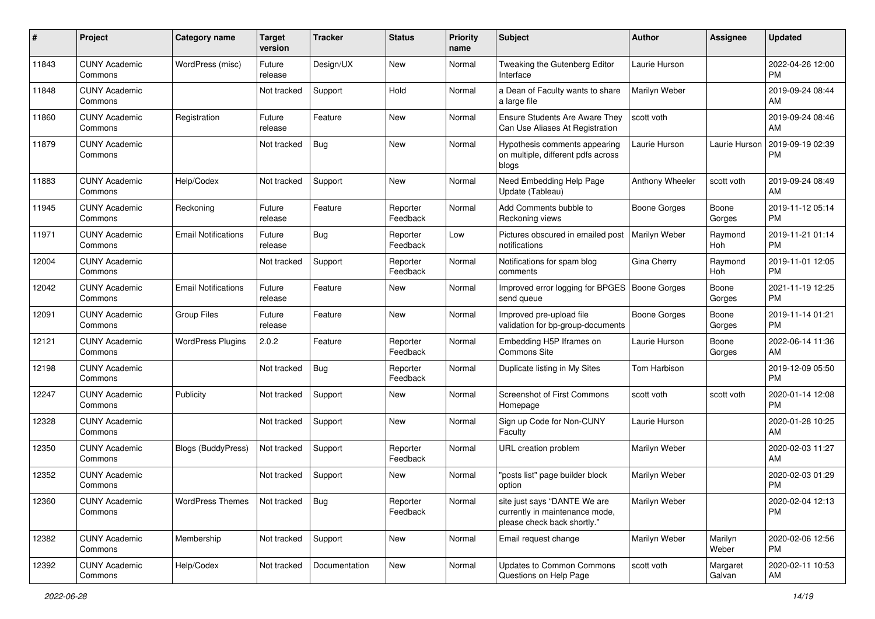| #     | Project                         | Category name              | <b>Target</b><br>version | <b>Tracker</b> | <b>Status</b>        | <b>Priority</b><br>name | <b>Subject</b>                                                                                | Author              | <b>Assignee</b>    | <b>Updated</b>                |
|-------|---------------------------------|----------------------------|--------------------------|----------------|----------------------|-------------------------|-----------------------------------------------------------------------------------------------|---------------------|--------------------|-------------------------------|
| 11843 | <b>CUNY Academic</b><br>Commons | WordPress (misc)           | Future<br>release        | Design/UX      | New                  | Normal                  | Tweaking the Gutenberg Editor<br>Interface                                                    | Laurie Hurson       |                    | 2022-04-26 12:00<br><b>PM</b> |
| 11848 | <b>CUNY Academic</b><br>Commons |                            | Not tracked              | Support        | Hold                 | Normal                  | a Dean of Faculty wants to share<br>a large file                                              | Marilyn Weber       |                    | 2019-09-24 08:44<br>AM        |
| 11860 | <b>CUNY Academic</b><br>Commons | Registration               | Future<br>release        | Feature        | New                  | Normal                  | Ensure Students Are Aware They<br>Can Use Aliases At Registration                             | scott voth          |                    | 2019-09-24 08:46<br>AM        |
| 11879 | <b>CUNY Academic</b><br>Commons |                            | Not tracked              | <b>Bug</b>     | New                  | Normal                  | Hypothesis comments appearing<br>on multiple, different pdfs across<br>blogs                  | Laurie Hurson       | Laurie Hurson      | 2019-09-19 02:39<br><b>PM</b> |
| 11883 | <b>CUNY Academic</b><br>Commons | Help/Codex                 | Not tracked              | Support        | New                  | Normal                  | Need Embedding Help Page<br>Update (Tableau)                                                  | Anthony Wheeler     | scott voth         | 2019-09-24 08:49<br>AM        |
| 11945 | <b>CUNY Academic</b><br>Commons | Reckoning                  | Future<br>release        | Feature        | Reporter<br>Feedback | Normal                  | Add Comments bubble to<br>Reckoning views                                                     | <b>Boone Gorges</b> | Boone<br>Gorges    | 2019-11-12 05:14<br><b>PM</b> |
| 11971 | <b>CUNY Academic</b><br>Commons | <b>Email Notifications</b> | Future<br>release        | <b>Bug</b>     | Reporter<br>Feedback | Low                     | Pictures obscured in emailed post<br>notifications                                            | Marilyn Weber       | Raymond<br>Hoh     | 2019-11-21 01:14<br><b>PM</b> |
| 12004 | <b>CUNY Academic</b><br>Commons |                            | Not tracked              | Support        | Reporter<br>Feedback | Normal                  | Notifications for spam blog<br>comments                                                       | Gina Cherry         | Raymond<br>Hoh     | 2019-11-01 12:05<br><b>PM</b> |
| 12042 | <b>CUNY Academic</b><br>Commons | <b>Email Notifications</b> | Future<br>release        | Feature        | New                  | Normal                  | Improved error logging for BPGES<br>send queue                                                | <b>Boone Gorges</b> | Boone<br>Gorges    | 2021-11-19 12:25<br><b>PM</b> |
| 12091 | <b>CUNY Academic</b><br>Commons | <b>Group Files</b>         | Future<br>release        | Feature        | <b>New</b>           | Normal                  | Improved pre-upload file<br>validation for bp-group-documents                                 | Boone Gorges        | Boone<br>Gorges    | 2019-11-14 01:21<br><b>PM</b> |
| 12121 | <b>CUNY Academic</b><br>Commons | <b>WordPress Plugins</b>   | 2.0.2                    | Feature        | Reporter<br>Feedback | Normal                  | Embedding H5P Iframes on<br>Commons Site                                                      | Laurie Hurson       | Boone<br>Gorges    | 2022-06-14 11:36<br>AM        |
| 12198 | <b>CUNY Academic</b><br>Commons |                            | Not tracked              | Bug            | Reporter<br>Feedback | Normal                  | Duplicate listing in My Sites                                                                 | Tom Harbison        |                    | 2019-12-09 05:50<br><b>PM</b> |
| 12247 | <b>CUNY Academic</b><br>Commons | Publicity                  | Not tracked              | Support        | New                  | Normal                  | Screenshot of First Commons<br>Homepage                                                       | scott voth          | scott voth         | 2020-01-14 12:08<br><b>PM</b> |
| 12328 | <b>CUNY Academic</b><br>Commons |                            | Not tracked              | Support        | New                  | Normal                  | Sign up Code for Non-CUNY<br>Faculty                                                          | Laurie Hurson       |                    | 2020-01-28 10:25<br>AM        |
| 12350 | <b>CUNY Academic</b><br>Commons | Blogs (BuddyPress)         | Not tracked              | Support        | Reporter<br>Feedback | Normal                  | URL creation problem                                                                          | Marilyn Weber       |                    | 2020-02-03 11:27<br>AM        |
| 12352 | <b>CUNY Academic</b><br>Commons |                            | Not tracked              | Support        | New                  | Normal                  | "posts list" page builder block<br>option                                                     | Marilyn Weber       |                    | 2020-02-03 01:29<br><b>PM</b> |
| 12360 | <b>CUNY Academic</b><br>Commons | <b>WordPress Themes</b>    | Not tracked              | $ $ Bug        | Reporter<br>Feedback | Normal                  | site just says "DANTE We are<br>currently in maintenance mode,<br>please check back shortly." | Marilyn Weber       |                    | 2020-02-04 12:13<br>PM        |
| 12382 | <b>CUNY Academic</b><br>Commons | Membership                 | Not tracked              | Support        | New                  | Normal                  | Email request change                                                                          | Marilyn Weber       | Marilyn<br>Weber   | 2020-02-06 12:56<br><b>PM</b> |
| 12392 | <b>CUNY Academic</b><br>Commons | Help/Codex                 | Not tracked              | Documentation  | New                  | Normal                  | <b>Updates to Common Commons</b><br>Questions on Help Page                                    | scott voth          | Margaret<br>Galvan | 2020-02-11 10:53<br>AM        |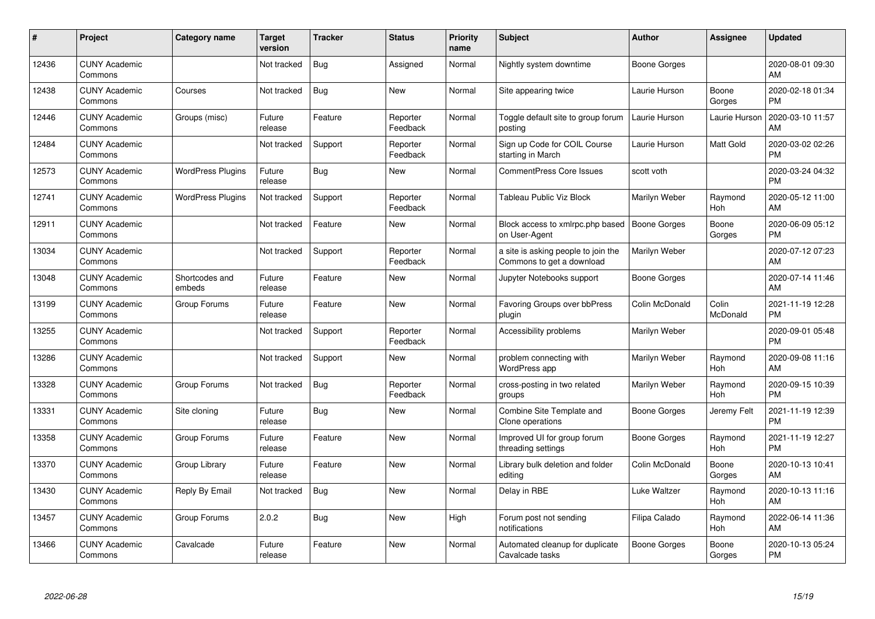| #     | Project                         | Category name            | <b>Target</b><br>version | <b>Tracker</b> | <b>Status</b>        | <b>Priority</b><br>name | <b>Subject</b>                                                   | <b>Author</b>       | <b>Assignee</b>       | <b>Updated</b>                |
|-------|---------------------------------|--------------------------|--------------------------|----------------|----------------------|-------------------------|------------------------------------------------------------------|---------------------|-----------------------|-------------------------------|
| 12436 | <b>CUNY Academic</b><br>Commons |                          | Not tracked              | <b>Bug</b>     | Assigned             | Normal                  | Nightly system downtime                                          | <b>Boone Gorges</b> |                       | 2020-08-01 09:30<br>AM        |
| 12438 | <b>CUNY Academic</b><br>Commons | Courses                  | Not tracked              | Bug            | <b>New</b>           | Normal                  | Site appearing twice                                             | Laurie Hurson       | Boone<br>Gorges       | 2020-02-18 01:34<br><b>PM</b> |
| 12446 | <b>CUNY Academic</b><br>Commons | Groups (misc)            | Future<br>release        | Feature        | Reporter<br>Feedback | Normal                  | Toggle default site to group forum<br>posting                    | Laurie Hurson       | Laurie Hurson         | 2020-03-10 11:57<br>AM        |
| 12484 | <b>CUNY Academic</b><br>Commons |                          | Not tracked              | Support        | Reporter<br>Feedback | Normal                  | Sign up Code for COIL Course<br>starting in March                | Laurie Hurson       | Matt Gold             | 2020-03-02 02:26<br><b>PM</b> |
| 12573 | <b>CUNY Academic</b><br>Commons | <b>WordPress Plugins</b> | Future<br>release        | <b>Bug</b>     | <b>New</b>           | Normal                  | <b>CommentPress Core Issues</b>                                  | scott voth          |                       | 2020-03-24 04:32<br><b>PM</b> |
| 12741 | <b>CUNY Academic</b><br>Commons | <b>WordPress Plugins</b> | Not tracked              | Support        | Reporter<br>Feedback | Normal                  | Tableau Public Viz Block                                         | Marilyn Weber       | Raymond<br><b>Hoh</b> | 2020-05-12 11:00<br>AM        |
| 12911 | <b>CUNY Academic</b><br>Commons |                          | Not tracked              | Feature        | <b>New</b>           | Normal                  | Block access to xmlrpc.php based<br>on User-Agent                | <b>Boone Gorges</b> | Boone<br>Gorges       | 2020-06-09 05:12<br><b>PM</b> |
| 13034 | <b>CUNY Academic</b><br>Commons |                          | Not tracked              | Support        | Reporter<br>Feedback | Normal                  | a site is asking people to join the<br>Commons to get a download | Marilyn Weber       |                       | 2020-07-12 07:23<br>AM        |
| 13048 | <b>CUNY Academic</b><br>Commons | Shortcodes and<br>embeds | Future<br>release        | Feature        | <b>New</b>           | Normal                  | Jupyter Notebooks support                                        | <b>Boone Gorges</b> |                       | 2020-07-14 11:46<br>AM        |
| 13199 | <b>CUNY Academic</b><br>Commons | Group Forums             | Future<br>release        | Feature        | <b>New</b>           | Normal                  | <b>Favoring Groups over bbPress</b><br>plugin                    | Colin McDonald      | Colin<br>McDonald     | 2021-11-19 12:28<br><b>PM</b> |
| 13255 | <b>CUNY Academic</b><br>Commons |                          | Not tracked              | Support        | Reporter<br>Feedback | Normal                  | Accessibility problems                                           | Marilyn Weber       |                       | 2020-09-01 05:48<br><b>PM</b> |
| 13286 | <b>CUNY Academic</b><br>Commons |                          | Not tracked              | Support        | <b>New</b>           | Normal                  | problem connecting with<br>WordPress app                         | Marilyn Weber       | Raymond<br>Hoh        | 2020-09-08 11:16<br>AM        |
| 13328 | <b>CUNY Academic</b><br>Commons | Group Forums             | Not tracked              | <b>Bug</b>     | Reporter<br>Feedback | Normal                  | cross-posting in two related<br>groups                           | Marilyn Weber       | Raymond<br>Hoh        | 2020-09-15 10:39<br><b>PM</b> |
| 13331 | <b>CUNY Academic</b><br>Commons | Site cloning             | Future<br>release        | Bug            | <b>New</b>           | Normal                  | Combine Site Template and<br>Clone operations                    | Boone Gorges        | Jeremy Felt           | 2021-11-19 12:39<br><b>PM</b> |
| 13358 | <b>CUNY Academic</b><br>Commons | Group Forums             | Future<br>release        | Feature        | <b>New</b>           | Normal                  | Improved UI for group forum<br>threading settings                | Boone Gorges        | Raymond<br>Hoh        | 2021-11-19 12:27<br><b>PM</b> |
| 13370 | <b>CUNY Academic</b><br>Commons | Group Library            | Future<br>release        | Feature        | <b>New</b>           | Normal                  | Library bulk deletion and folder<br>editing                      | Colin McDonald      | Boone<br>Gorges       | 2020-10-13 10:41<br>AM        |
| 13430 | <b>CUNY Academic</b><br>Commons | Reply By Email           | Not tracked              | <b>Bug</b>     | New                  | Normal                  | Delay in RBE                                                     | Luke Waltzer        | Raymond<br><b>Hoh</b> | 2020-10-13 11:16<br>AM        |
| 13457 | <b>CUNY Academic</b><br>Commons | Group Forums             | 2.0.2                    | <b>Bug</b>     | <b>New</b>           | High                    | Forum post not sending<br>notifications                          | Filipa Calado       | Raymond<br>Hoh        | 2022-06-14 11:36<br>AM        |
| 13466 | <b>CUNY Academic</b><br>Commons | Cavalcade                | Future<br>release        | Feature        | <b>New</b>           | Normal                  | Automated cleanup for duplicate<br>Cavalcade tasks               | <b>Boone Gorges</b> | Boone<br>Gorges       | 2020-10-13 05:24<br>PM        |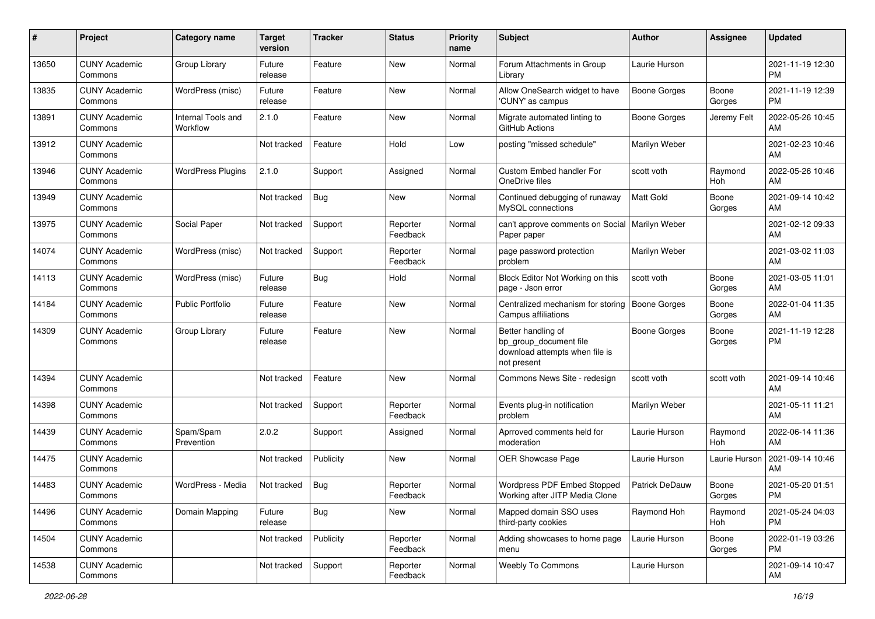| #     | Project                         | <b>Category name</b>           | <b>Target</b><br>version | <b>Tracker</b> | <b>Status</b>        | <b>Priority</b><br>name | Subject                                                                                       | <b>Author</b>       | <b>Assignee</b>       | <b>Updated</b>                |
|-------|---------------------------------|--------------------------------|--------------------------|----------------|----------------------|-------------------------|-----------------------------------------------------------------------------------------------|---------------------|-----------------------|-------------------------------|
| 13650 | <b>CUNY Academic</b><br>Commons | Group Library                  | Future<br>release        | Feature        | <b>New</b>           | Normal                  | Forum Attachments in Group<br>Library                                                         | Laurie Hurson       |                       | 2021-11-19 12:30<br><b>PM</b> |
| 13835 | <b>CUNY Academic</b><br>Commons | WordPress (misc)               | Future<br>release        | Feature        | New                  | Normal                  | Allow OneSearch widget to have<br>'CUNY' as campus                                            | <b>Boone Gorges</b> | Boone<br>Gorges       | 2021-11-19 12:39<br><b>PM</b> |
| 13891 | <b>CUNY Academic</b><br>Commons | Internal Tools and<br>Workflow | 2.1.0                    | Feature        | <b>New</b>           | Normal                  | Migrate automated linting to<br>GitHub Actions                                                | <b>Boone Gorges</b> | Jeremy Felt           | 2022-05-26 10:45<br>AM        |
| 13912 | <b>CUNY Academic</b><br>Commons |                                | Not tracked              | Feature        | Hold                 | Low                     | posting "missed schedule"                                                                     | Marilyn Weber       |                       | 2021-02-23 10:46<br>AM        |
| 13946 | <b>CUNY Academic</b><br>Commons | <b>WordPress Plugins</b>       | 2.1.0                    | Support        | Assigned             | Normal                  | Custom Embed handler For<br>OneDrive files                                                    | scott voth          | Raymond<br>Hoh        | 2022-05-26 10:46<br>AM        |
| 13949 | <b>CUNY Academic</b><br>Commons |                                | Not tracked              | Bug            | New                  | Normal                  | Continued debugging of runaway<br>MySQL connections                                           | <b>Matt Gold</b>    | Boone<br>Gorges       | 2021-09-14 10:42<br>AM        |
| 13975 | <b>CUNY Academic</b><br>Commons | Social Paper                   | Not tracked              | Support        | Reporter<br>Feedback | Normal                  | can't approve comments on Social   Marilyn Weber<br>Paper paper                               |                     |                       | 2021-02-12 09:33<br>AM        |
| 14074 | <b>CUNY Academic</b><br>Commons | WordPress (misc)               | Not tracked              | Support        | Reporter<br>Feedback | Normal                  | page password protection<br>problem                                                           | Marilyn Weber       |                       | 2021-03-02 11:03<br>AM        |
| 14113 | <b>CUNY Academic</b><br>Commons | WordPress (misc)               | Future<br>release        | <b>Bug</b>     | Hold                 | Normal                  | Block Editor Not Working on this<br>page - Json error                                         | scott voth          | Boone<br>Gorges       | 2021-03-05 11:01<br>AM        |
| 14184 | <b>CUNY Academic</b><br>Commons | <b>Public Portfolio</b>        | Future<br>release        | Feature        | New                  | Normal                  | Centralized mechanism for storing<br>Campus affiliations                                      | <b>Boone Gorges</b> | Boone<br>Gorges       | 2022-01-04 11:35<br>AM        |
| 14309 | <b>CUNY Academic</b><br>Commons | Group Library                  | Future<br>release        | Feature        | New                  | Normal                  | Better handling of<br>bp group document file<br>download attempts when file is<br>not present | Boone Gorges        | Boone<br>Gorges       | 2021-11-19 12:28<br><b>PM</b> |
| 14394 | <b>CUNY Academic</b><br>Commons |                                | Not tracked              | Feature        | New                  | Normal                  | Commons News Site - redesign                                                                  | scott voth          | scott voth            | 2021-09-14 10:46<br>AM        |
| 14398 | <b>CUNY Academic</b><br>Commons |                                | Not tracked              | Support        | Reporter<br>Feedback | Normal                  | Events plug-in notification<br>problem                                                        | Marilyn Weber       |                       | 2021-05-11 11:21<br>AM        |
| 14439 | <b>CUNY Academic</b><br>Commons | Spam/Spam<br>Prevention        | 2.0.2                    | Support        | Assigned             | Normal                  | Aprroved comments held for<br>moderation                                                      | Laurie Hurson       | Raymond<br><b>Hoh</b> | 2022-06-14 11:36<br>AM        |
| 14475 | <b>CUNY Academic</b><br>Commons |                                | Not tracked              | Publicity      | New                  | Normal                  | <b>OER Showcase Page</b>                                                                      | Laurie Hurson       | Laurie Hurson         | 2021-09-14 10:46<br>AM        |
| 14483 | <b>CUNY Academic</b><br>Commons | WordPress - Media              | Not tracked              | <b>Bug</b>     | Reporter<br>Feedback | Normal                  | Wordpress PDF Embed Stopped<br>Working after JITP Media Clone                                 | Patrick DeDauw      | Boone<br>Gorges       | 2021-05-20 01:51<br>PM        |
| 14496 | <b>CUNY Academic</b><br>Commons | Domain Mapping                 | Future<br>release        | Bug            | New                  | Normal                  | Mapped domain SSO uses<br>third-party cookies                                                 | Raymond Hoh         | Raymond<br>Hoh        | 2021-05-24 04:03<br><b>PM</b> |
| 14504 | <b>CUNY Academic</b><br>Commons |                                | Not tracked              | Publicity      | Reporter<br>Feedback | Normal                  | Adding showcases to home page<br>menu                                                         | Laurie Hurson       | Boone<br>Gorges       | 2022-01-19 03:26<br><b>PM</b> |
| 14538 | <b>CUNY Academic</b><br>Commons |                                | Not tracked              | Support        | Reporter<br>Feedback | Normal                  | Weebly To Commons                                                                             | Laurie Hurson       |                       | 2021-09-14 10:47<br>AM        |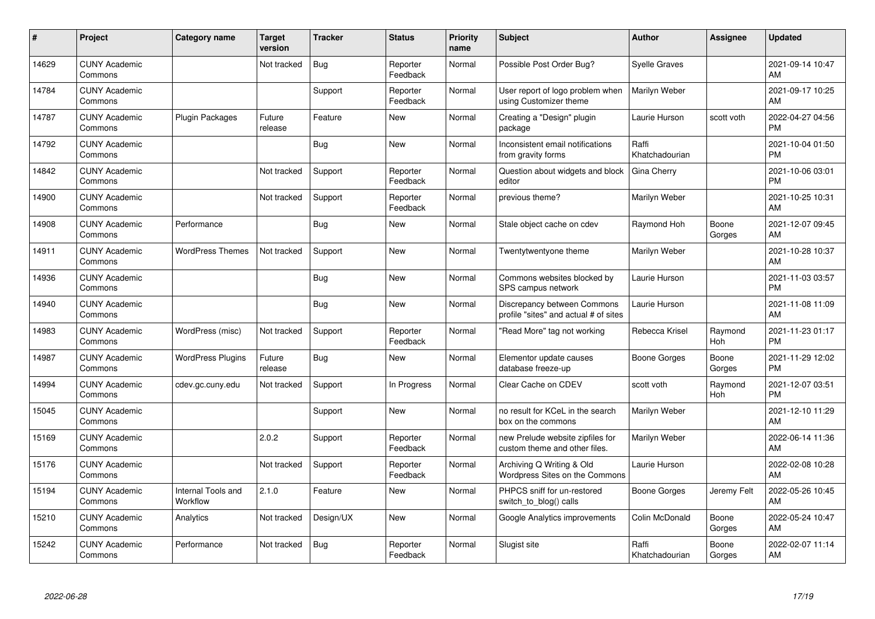| #     | Project                         | <b>Category name</b>           | <b>Target</b><br>version | <b>Tracker</b> | <b>Status</b>        | <b>Priority</b><br>name | <b>Subject</b>                                                       | <b>Author</b>           | <b>Assignee</b>       | <b>Updated</b>                |
|-------|---------------------------------|--------------------------------|--------------------------|----------------|----------------------|-------------------------|----------------------------------------------------------------------|-------------------------|-----------------------|-------------------------------|
| 14629 | <b>CUNY Academic</b><br>Commons |                                | Not tracked              | <b>Bug</b>     | Reporter<br>Feedback | Normal                  | Possible Post Order Bug?                                             | <b>Syelle Graves</b>    |                       | 2021-09-14 10:47<br>AM        |
| 14784 | <b>CUNY Academic</b><br>Commons |                                |                          | Support        | Reporter<br>Feedback | Normal                  | User report of logo problem when<br>using Customizer theme           | Marilyn Weber           |                       | 2021-09-17 10:25<br>AM        |
| 14787 | <b>CUNY Academic</b><br>Commons | <b>Plugin Packages</b>         | Future<br>release        | Feature        | <b>New</b>           | Normal                  | Creating a "Design" plugin<br>package                                | Laurie Hurson           | scott voth            | 2022-04-27 04:56<br><b>PM</b> |
| 14792 | <b>CUNY Academic</b><br>Commons |                                |                          | <b>Bug</b>     | <b>New</b>           | Normal                  | Inconsistent email notifications<br>from gravity forms               | Raffi<br>Khatchadourian |                       | 2021-10-04 01:50<br><b>PM</b> |
| 14842 | <b>CUNY Academic</b><br>Commons |                                | Not tracked              | Support        | Reporter<br>Feedback | Normal                  | Question about widgets and block<br>editor                           | Gina Cherry             |                       | 2021-10-06 03:01<br><b>PM</b> |
| 14900 | <b>CUNY Academic</b><br>Commons |                                | Not tracked              | Support        | Reporter<br>Feedback | Normal                  | previous theme?                                                      | Marilyn Weber           |                       | 2021-10-25 10:31<br>AM        |
| 14908 | <b>CUNY Academic</b><br>Commons | Performance                    |                          | <b>Bug</b>     | <b>New</b>           | Normal                  | Stale object cache on cdev                                           | Raymond Hoh             | Boone<br>Gorges       | 2021-12-07 09:45<br>AM        |
| 14911 | <b>CUNY Academic</b><br>Commons | <b>WordPress Themes</b>        | Not tracked              | Support        | <b>New</b>           | Normal                  | Twentytwentyone theme                                                | Marilyn Weber           |                       | 2021-10-28 10:37<br>AM        |
| 14936 | <b>CUNY Academic</b><br>Commons |                                |                          | <b>Bug</b>     | <b>New</b>           | Normal                  | Commons websites blocked by<br>SPS campus network                    | Laurie Hurson           |                       | 2021-11-03 03:57<br><b>PM</b> |
| 14940 | <b>CUNY Academic</b><br>Commons |                                |                          | <b>Bug</b>     | <b>New</b>           | Normal                  | Discrepancy between Commons<br>profile "sites" and actual # of sites | Laurie Hurson           |                       | 2021-11-08 11:09<br>AM        |
| 14983 | <b>CUNY Academic</b><br>Commons | WordPress (misc)               | Not tracked              | Support        | Reporter<br>Feedback | Normal                  | "Read More" tag not working                                          | Rebecca Krisel          | Raymond<br><b>Hoh</b> | 2021-11-23 01:17<br><b>PM</b> |
| 14987 | <b>CUNY Academic</b><br>Commons | <b>WordPress Plugins</b>       | Future<br>release        | <b>Bug</b>     | <b>New</b>           | Normal                  | Elementor update causes<br>database freeze-up                        | Boone Gorges            | Boone<br>Gorges       | 2021-11-29 12:02<br><b>PM</b> |
| 14994 | <b>CUNY Academic</b><br>Commons | cdev.gc.cuny.edu               | Not tracked              | Support        | In Progress          | Normal                  | Clear Cache on CDEV                                                  | scott voth              | Raymond<br><b>Hoh</b> | 2021-12-07 03:51<br><b>PM</b> |
| 15045 | <b>CUNY Academic</b><br>Commons |                                |                          | Support        | <b>New</b>           | Normal                  | no result for KCeL in the search<br>box on the commons               | Marilyn Weber           |                       | 2021-12-10 11:29<br>AM        |
| 15169 | <b>CUNY Academic</b><br>Commons |                                | 2.0.2                    | Support        | Reporter<br>Feedback | Normal                  | new Prelude website zipfiles for<br>custom theme and other files.    | Marilyn Weber           |                       | 2022-06-14 11:36<br>AM        |
| 15176 | <b>CUNY Academic</b><br>Commons |                                | Not tracked              | Support        | Reporter<br>Feedback | Normal                  | Archiving Q Writing & Old<br>Wordpress Sites on the Commons          | Laurie Hurson           |                       | 2022-02-08 10:28<br>AM        |
| 15194 | <b>CUNY Academic</b><br>Commons | Internal Tools and<br>Workflow | 2.1.0                    | Feature        | <b>New</b>           | Normal                  | PHPCS sniff for un-restored<br>switch to blog() calls                | Boone Gorges            | Jeremy Felt           | 2022-05-26 10:45<br>AM        |
| 15210 | <b>CUNY Academic</b><br>Commons | Analytics                      | Not tracked              | Design/UX      | <b>New</b>           | Normal                  | Google Analytics improvements                                        | Colin McDonald          | Boone<br>Gorges       | 2022-05-24 10:47<br>AM        |
| 15242 | <b>CUNY Academic</b><br>Commons | Performance                    | Not tracked              | <b>Bug</b>     | Reporter<br>Feedback | Normal                  | Slugist site                                                         | Raffi<br>Khatchadourian | Boone<br>Gorges       | 2022-02-07 11:14<br>AM        |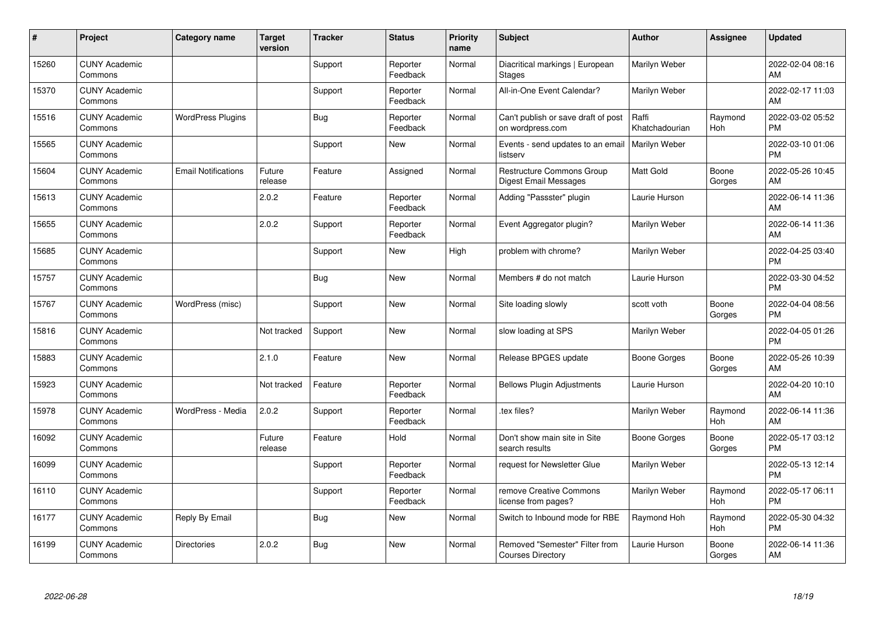| #     | Project                         | <b>Category name</b>       | <b>Target</b><br>version | <b>Tracker</b> | <b>Status</b>        | <b>Priority</b><br>name | <b>Subject</b>                                             | <b>Author</b>           | <b>Assignee</b>       | <b>Updated</b>                |
|-------|---------------------------------|----------------------------|--------------------------|----------------|----------------------|-------------------------|------------------------------------------------------------|-------------------------|-----------------------|-------------------------------|
| 15260 | <b>CUNY Academic</b><br>Commons |                            |                          | Support        | Reporter<br>Feedback | Normal                  | Diacritical markings   European<br><b>Stages</b>           | Marilyn Weber           |                       | 2022-02-04 08:16<br>AM        |
| 15370 | <b>CUNY Academic</b><br>Commons |                            |                          | Support        | Reporter<br>Feedback | Normal                  | All-in-One Event Calendar?                                 | Marilyn Weber           |                       | 2022-02-17 11:03<br>AM        |
| 15516 | <b>CUNY Academic</b><br>Commons | <b>WordPress Plugins</b>   |                          | Bug            | Reporter<br>Feedback | Normal                  | Can't publish or save draft of post<br>on wordpress.com    | Raffi<br>Khatchadourian | Raymond<br>Hoh        | 2022-03-02 05:52<br><b>PM</b> |
| 15565 | <b>CUNY Academic</b><br>Commons |                            |                          | Support        | <b>New</b>           | Normal                  | Events - send updates to an email<br>listserv              | Marilyn Weber           |                       | 2022-03-10 01:06<br><b>PM</b> |
| 15604 | <b>CUNY Academic</b><br>Commons | <b>Email Notifications</b> | Future<br>release        | Feature        | Assigned             | Normal                  | Restructure Commons Group<br><b>Digest Email Messages</b>  | Matt Gold               | Boone<br>Gorges       | 2022-05-26 10:45<br>AM        |
| 15613 | <b>CUNY Academic</b><br>Commons |                            | 2.0.2                    | Feature        | Reporter<br>Feedback | Normal                  | Adding "Passster" plugin                                   | Laurie Hurson           |                       | 2022-06-14 11:36<br>AM        |
| 15655 | <b>CUNY Academic</b><br>Commons |                            | 2.0.2                    | Support        | Reporter<br>Feedback | Normal                  | Event Aggregator plugin?                                   | Marilyn Weber           |                       | 2022-06-14 11:36<br>AM        |
| 15685 | <b>CUNY Academic</b><br>Commons |                            |                          | Support        | <b>New</b>           | High                    | problem with chrome?                                       | Marilyn Weber           |                       | 2022-04-25 03:40<br><b>PM</b> |
| 15757 | <b>CUNY Academic</b><br>Commons |                            |                          | Bug            | <b>New</b>           | Normal                  | Members # do not match                                     | Laurie Hurson           |                       | 2022-03-30 04:52<br><b>PM</b> |
| 15767 | <b>CUNY Academic</b><br>Commons | WordPress (misc)           |                          | Support        | New                  | Normal                  | Site loading slowly                                        | scott voth              | Boone<br>Gorges       | 2022-04-04 08:56<br><b>PM</b> |
| 15816 | <b>CUNY Academic</b><br>Commons |                            | Not tracked              | Support        | <b>New</b>           | Normal                  | slow loading at SPS                                        | Marilyn Weber           |                       | 2022-04-05 01:26<br><b>PM</b> |
| 15883 | <b>CUNY Academic</b><br>Commons |                            | 2.1.0                    | Feature        | <b>New</b>           | Normal                  | Release BPGES update                                       | Boone Gorges            | Boone<br>Gorges       | 2022-05-26 10:39<br>AM        |
| 15923 | <b>CUNY Academic</b><br>Commons |                            | Not tracked              | Feature        | Reporter<br>Feedback | Normal                  | <b>Bellows Plugin Adjustments</b>                          | Laurie Hurson           |                       | 2022-04-20 10:10<br>AM        |
| 15978 | <b>CUNY Academic</b><br>Commons | WordPress - Media          | 2.0.2                    | Support        | Reporter<br>Feedback | Normal                  | tex files?                                                 | Marilyn Weber           | Raymond<br>Hoh        | 2022-06-14 11:36<br>AM        |
| 16092 | <b>CUNY Academic</b><br>Commons |                            | Future<br>release        | Feature        | Hold                 | Normal                  | Don't show main site in Site<br>search results             | Boone Gorges            | Boone<br>Gorges       | 2022-05-17 03:12<br><b>PM</b> |
| 16099 | <b>CUNY Academic</b><br>Commons |                            |                          | Support        | Reporter<br>Feedback | Normal                  | request for Newsletter Glue                                | Marilyn Weber           |                       | 2022-05-13 12:14<br><b>PM</b> |
| 16110 | <b>CUNY Academic</b><br>Commons |                            |                          | Support        | Reporter<br>Feedback | Normal                  | remove Creative Commons<br>license from pages?             | Marilyn Weber           | Raymond<br><b>Hoh</b> | 2022-05-17 06:11<br><b>PM</b> |
| 16177 | <b>CUNY Academic</b><br>Commons | Reply By Email             |                          | Bug            | <b>New</b>           | Normal                  | Switch to Inbound mode for RBE                             | Raymond Hoh             | Raymond<br>Hoh        | 2022-05-30 04:32<br><b>PM</b> |
| 16199 | <b>CUNY Academic</b><br>Commons | <b>Directories</b>         | 2.0.2                    | <b>Bug</b>     | <b>New</b>           | Normal                  | Removed "Semester" Filter from<br><b>Courses Directory</b> | Laurie Hurson           | Boone<br>Gorges       | 2022-06-14 11:36<br>AM        |